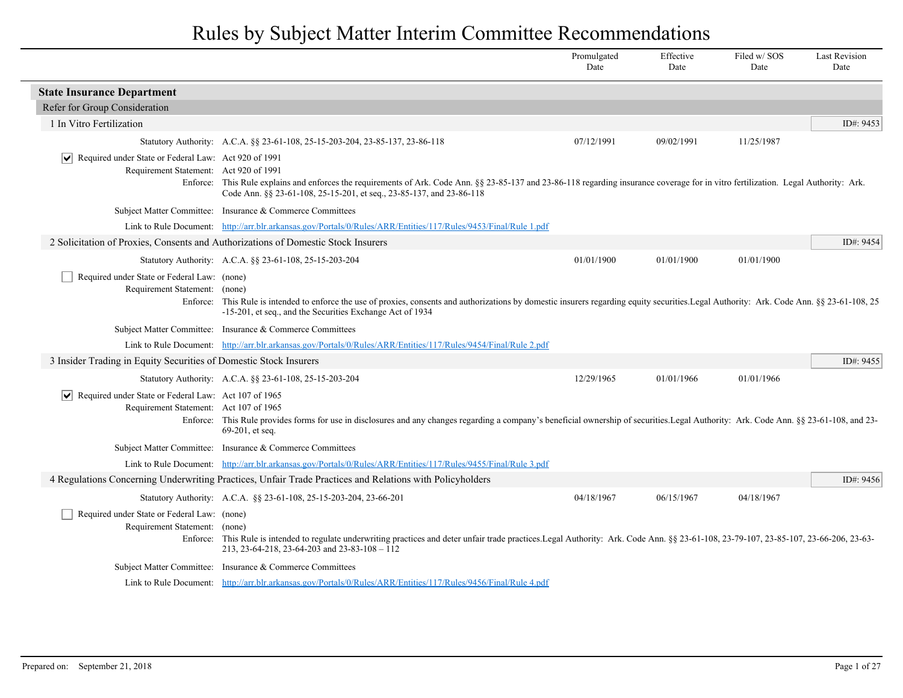|                                                                                                                       |                                                                                                                                                                                                                                                               | Promulgated<br>Date | Effective<br>Date | Filed w/SOS<br>Date | <b>Last Revision</b><br>Date |
|-----------------------------------------------------------------------------------------------------------------------|---------------------------------------------------------------------------------------------------------------------------------------------------------------------------------------------------------------------------------------------------------------|---------------------|-------------------|---------------------|------------------------------|
| <b>State Insurance Department</b>                                                                                     |                                                                                                                                                                                                                                                               |                     |                   |                     |                              |
| Refer for Group Consideration                                                                                         |                                                                                                                                                                                                                                                               |                     |                   |                     |                              |
| 1 In Vitro Fertilization                                                                                              |                                                                                                                                                                                                                                                               |                     |                   |                     | ID#: 9453                    |
|                                                                                                                       | Statutory Authority: A.C.A. §§ 23-61-108, 25-15-203-204, 23-85-137, 23-86-118                                                                                                                                                                                 | 07/12/1991          | 09/02/1991        | 11/25/1987          |                              |
| Required under State or Federal Law: Act 920 of 1991<br>$ \bm{\mathsf{v}} $<br>Requirement Statement: Act 920 of 1991 | Enforce: This Rule explains and enforces the requirements of Ark. Code Ann. §§ 23-85-137 and 23-86-118 regarding insurance coverage for in vitro fertilization. Legal Authority: Ark.<br>Code Ann. §§ 23-61-108, 25-15-201, et seq., 23-85-137, and 23-86-118 |                     |                   |                     |                              |
|                                                                                                                       | Subject Matter Committee: Insurance & Commerce Committees                                                                                                                                                                                                     |                     |                   |                     |                              |
|                                                                                                                       | Link to Rule Document: http://arr.blr.arkansas.gov/Portals/0/Rules/ARR/Entities/117/Rules/9453/Final/Rule 1.pdf                                                                                                                                               |                     |                   |                     |                              |
|                                                                                                                       | 2 Solicitation of Proxies, Consents and Authorizations of Domestic Stock Insurers                                                                                                                                                                             |                     |                   |                     | ID#: 9454                    |
|                                                                                                                       | Statutory Authority: A.C.A. §§ 23-61-108, 25-15-203-204                                                                                                                                                                                                       | 01/01/1900          | 01/01/1900        | 01/01/1900          |                              |
| Required under State or Federal Law: (none)<br>Requirement Statement: (none)                                          | Enforce: This Rule is intended to enforce the use of proxies, consents and authorizations by domestic insurers regarding equity securities. Legal Authority: Ark. Code Ann. §§ 23-61-108, 25<br>-15-201, et seq., and the Securities Exchange Act of 1934     |                     |                   |                     |                              |
|                                                                                                                       | Subject Matter Committee: Insurance & Commerce Committees                                                                                                                                                                                                     |                     |                   |                     |                              |
|                                                                                                                       | Link to Rule Document: http://arr.blr.arkansas.gov/Portals/0/Rules/ARR/Entities/117/Rules/9454/Final/Rule 2.pdf                                                                                                                                               |                     |                   |                     |                              |
| 3 Insider Trading in Equity Securities of Domestic Stock Insurers                                                     |                                                                                                                                                                                                                                                               |                     |                   |                     | ID#: $9455$                  |
|                                                                                                                       | Statutory Authority: A.C.A. §§ 23-61-108, 25-15-203-204                                                                                                                                                                                                       | 12/29/1965          | 01/01/1966        | 01/01/1966          |                              |
| $ \mathbf{v} $ Required under State or Federal Law: Act 107 of 1965<br>Requirement Statement: Act 107 of 1965         | Enforce: This Rule provides forms for use in disclosures and any changes regarding a company's beneficial ownership of securities. Legal Authority: Ark. Code Ann. §§ 23-61-108, and 23-<br>69-201, et seq.                                                   |                     |                   |                     |                              |
|                                                                                                                       | Subject Matter Committee: Insurance & Commerce Committees                                                                                                                                                                                                     |                     |                   |                     |                              |
|                                                                                                                       | Link to Rule Document: http://arr.blr.arkansas.gov/Portals/0/Rules/ARR/Entities/117/Rules/9455/Final/Rule 3.pdf                                                                                                                                               |                     |                   |                     |                              |
|                                                                                                                       | 4 Regulations Concerning Underwriting Practices, Unfair Trade Practices and Relations with Policyholders                                                                                                                                                      |                     |                   |                     | ID#: 9456                    |
|                                                                                                                       | Statutory Authority: A.C.A. §§ 23-61-108, 25-15-203-204, 23-66-201                                                                                                                                                                                            | 04/18/1967          | 06/15/1967        | 04/18/1967          |                              |
| Required under State or Federal Law: (none)<br>Requirement Statement: (none)                                          | Enforce: This Rule is intended to regulate underwriting practices and deter unfair trade practices. Legal Authority: Ark. Code Ann. § \$ 23-61-108, 23-79-107, 23-85-107, 23-66-206, 23-63-<br>213, 23-64-218, 23-64-203 and 23-83-108 - 112                  |                     |                   |                     |                              |
|                                                                                                                       | Subject Matter Committee: Insurance & Commerce Committees                                                                                                                                                                                                     |                     |                   |                     |                              |
|                                                                                                                       | Link to Rule Document: http://arr.blr.arkansas.gov/Portals/0/Rules/ARR/Entities/117/Rules/9456/Final/Rule 4.pdf                                                                                                                                               |                     |                   |                     |                              |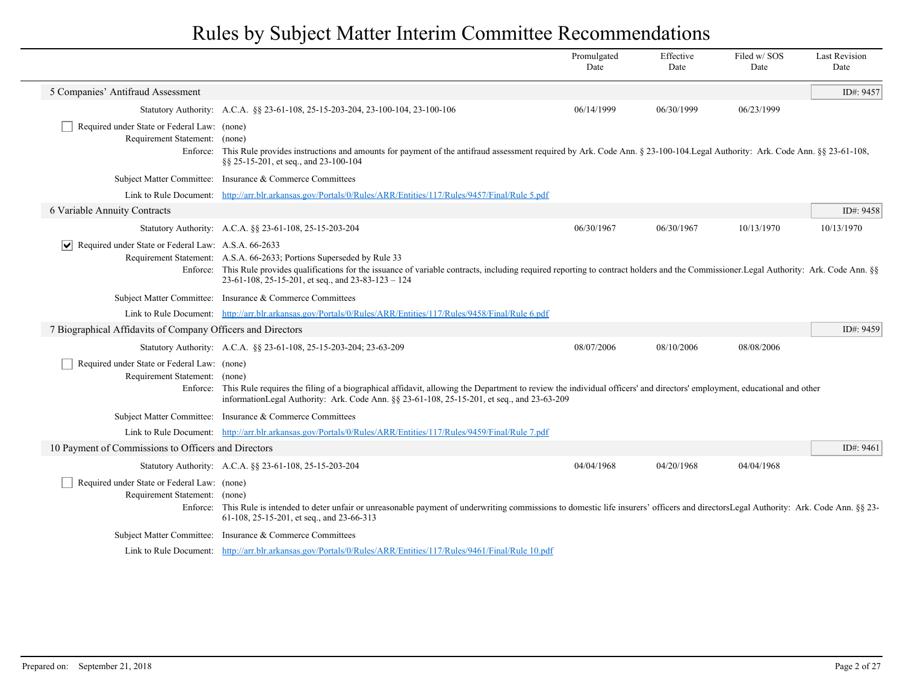|                                                                                          |                                                                                                                                                                                                                                                                                                                                  | Promulgated<br>Date | Effective<br>Date | Filed w/SOS<br>Date | <b>Last Revision</b><br>Date |
|------------------------------------------------------------------------------------------|----------------------------------------------------------------------------------------------------------------------------------------------------------------------------------------------------------------------------------------------------------------------------------------------------------------------------------|---------------------|-------------------|---------------------|------------------------------|
| 5 Companies' Antifraud Assessment                                                        |                                                                                                                                                                                                                                                                                                                                  |                     |                   |                     | ID#: 9457                    |
|                                                                                          | Statutory Authority: A.C.A. §§ 23-61-108, 25-15-203-204, 23-100-104, 23-100-106                                                                                                                                                                                                                                                  | 06/14/1999          | 06/30/1999        | 06/23/1999          |                              |
| Required under State or Federal Law: (none)<br>Requirement Statement:<br>Enforce:        | (none)<br>This Rule provides instructions and amounts for payment of the antifraud assessment required by Ark. Code Ann. § 23-100-104. Legal Authority: Ark. Code Ann. §§ 23-61-108,<br>§§ 25-15-201, et seq., and 23-100-104                                                                                                    |                     |                   |                     |                              |
|                                                                                          | Subject Matter Committee: Insurance & Commerce Committees                                                                                                                                                                                                                                                                        |                     |                   |                     |                              |
|                                                                                          | Link to Rule Document: http://arr.blr.arkansas.gov/Portals/0/Rules/ARR/Entities/117/Rules/9457/Final/Rule 5.pdf                                                                                                                                                                                                                  |                     |                   |                     |                              |
| 6 Variable Annuity Contracts                                                             |                                                                                                                                                                                                                                                                                                                                  |                     |                   |                     | ID#: 9458                    |
|                                                                                          | Statutory Authority: A.C.A. §§ 23-61-108, 25-15-203-204                                                                                                                                                                                                                                                                          | 06/30/1967          | 06/30/1967        | 10/13/1970          | 10/13/1970                   |
| $\triangleright$ Required under State or Federal Law: A.S.A. 66-2633                     | Requirement Statement: A.S.A. 66-2633; Portions Superseded by Rule 33<br>Enforce: This Rule provides qualifications for the issuance of variable contracts, including required reporting to contract holders and the Commissioner.Legal Authority: Ark. Code Ann. §§<br>$23-61-108$ , $25-15-201$ , et seq., and $23-83-123-124$ |                     |                   |                     |                              |
|                                                                                          | Subject Matter Committee: Insurance & Commerce Committees                                                                                                                                                                                                                                                                        |                     |                   |                     |                              |
|                                                                                          | Link to Rule Document: http://arr.blr.arkansas.gov/Portals/0/Rules/ARR/Entities/117/Rules/9458/Final/Rule 6.pdf                                                                                                                                                                                                                  |                     |                   |                     |                              |
| 7 Biographical Affidavits of Company Officers and Directors                              |                                                                                                                                                                                                                                                                                                                                  |                     |                   |                     | ID#: 9459                    |
|                                                                                          | Statutory Authority: A.C.A. §§ 23-61-108, 25-15-203-204; 23-63-209                                                                                                                                                                                                                                                               | 08/07/2006          | 08/10/2006        | 08/08/2006          |                              |
| Required under State or Federal Law: (none)<br>Requirement Statement: (none)<br>Enforce: | This Rule requires the filing of a biographical affidavit, allowing the Department to review the individual officers' and directors' employment, educational and other<br>informationLegal Authority: Ark. Code Ann. §§ 23-61-108, 25-15-201, et seq., and 23-63-209                                                             |                     |                   |                     |                              |
|                                                                                          | Subject Matter Committee: Insurance & Commerce Committees                                                                                                                                                                                                                                                                        |                     |                   |                     |                              |
|                                                                                          | Link to Rule Document: http://arr.blr.arkansas.gov/Portals/0/Rules/ARR/Entities/117/Rules/9459/Final/Rule 7.pdf                                                                                                                                                                                                                  |                     |                   |                     |                              |
| 10 Payment of Commissions to Officers and Directors                                      |                                                                                                                                                                                                                                                                                                                                  |                     |                   |                     | ID#: 9461                    |
|                                                                                          | Statutory Authority: A.C.A. §§ 23-61-108, 25-15-203-204                                                                                                                                                                                                                                                                          | 04/04/1968          | 04/20/1968        | 04/04/1968          |                              |
| Required under State or Federal Law: (none)<br>Requirement Statement: (none)             | Enforce: This Rule is intended to deter unfair or unreasonable payment of underwriting commissions to domestic life insurers' officers and directors Legal Authority: Ark. Code Ann. §§ 23-<br>61-108, 25-15-201, et seq., and 23-66-313                                                                                         |                     |                   |                     |                              |
|                                                                                          | Subject Matter Committee: Insurance & Commerce Committees                                                                                                                                                                                                                                                                        |                     |                   |                     |                              |
|                                                                                          | Link to Rule Document: http://arr.blr.arkansas.gov/Portals/0/Rules/ARR/Entities/117/Rules/9461/Final/Rule 10.pdf                                                                                                                                                                                                                 |                     |                   |                     |                              |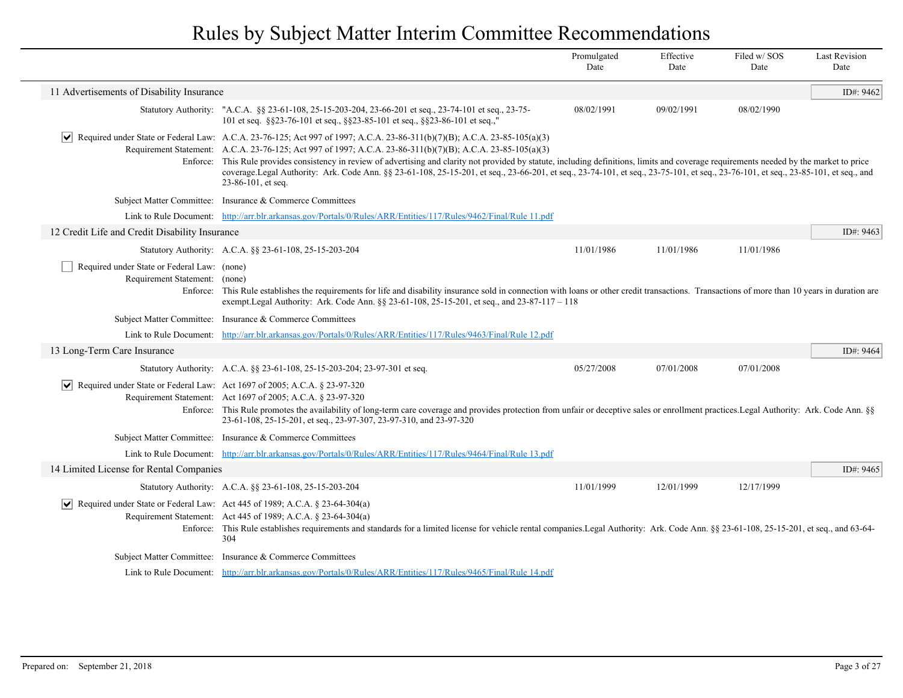|                                                                              |                                                                                                                                                                                                                                                                                                                                                                                                         | Promulgated<br>Date | Effective<br>Date | Filed w/SOS<br>Date | <b>Last Revision</b><br>Date |
|------------------------------------------------------------------------------|---------------------------------------------------------------------------------------------------------------------------------------------------------------------------------------------------------------------------------------------------------------------------------------------------------------------------------------------------------------------------------------------------------|---------------------|-------------------|---------------------|------------------------------|
| 11 Advertisements of Disability Insurance                                    |                                                                                                                                                                                                                                                                                                                                                                                                         |                     |                   |                     | ID#: 9462                    |
|                                                                              | Statutory Authority: "A.C.A. §§ 23-61-108, 25-15-203-204, 23-66-201 et seq., 23-74-101 et seq., 23-75-<br>101 et seq. § § 23-76-101 et seq., § § 23-85-101 et seq., § § 23-86-101 et seq.,'                                                                                                                                                                                                             | 08/02/1991          | 09/02/1991        | 08/02/1990          |                              |
|                                                                              | Required under State or Federal Law: A.C.A. 23-76-125; Act 997 of 1997; A.C.A. 23-86-311(b)(7)(B); A.C.A. 23-85-105(a)(3)<br>Requirement Statement: A.C.A. 23-76-125; Act 997 of 1997; A.C.A. 23-86-311(b)(7)(B); A.C.A. 23-85-105(a)(3)                                                                                                                                                                |                     |                   |                     |                              |
|                                                                              | Enforce: This Rule provides consistency in review of advertising and clarity not provided by statute, including definitions, limits and coverage requirements needed by the market to price<br>coverage.Legal Authority: Ark. Code Ann. §§ 23-61-108, 25-15-201, et seq., 23-66-201, et seq., 23-74-101, et seq., 23-75-101, et seq., 23-76-101, et seq., 23-85-101, et seq., and<br>23-86-101, et seq. |                     |                   |                     |                              |
|                                                                              | Subject Matter Committee: Insurance & Commerce Committees                                                                                                                                                                                                                                                                                                                                               |                     |                   |                     |                              |
|                                                                              | Link to Rule Document: http://arr.blr.arkansas.gov/Portals/0/Rules/ARR/Entities/117/Rules/9462/Final/Rule 11.pdf                                                                                                                                                                                                                                                                                        |                     |                   |                     |                              |
| 12 Credit Life and Credit Disability Insurance                               |                                                                                                                                                                                                                                                                                                                                                                                                         |                     |                   |                     | ID#: 9463                    |
|                                                                              | Statutory Authority: A.C.A. §§ 23-61-108, 25-15-203-204                                                                                                                                                                                                                                                                                                                                                 | 11/01/1986          | 11/01/1986        | 11/01/1986          |                              |
| Required under State or Federal Law: (none)<br>Requirement Statement: (none) | Enforce: This Rule establishes the requirements for life and disability insurance sold in connection with loans or other credit transactions. Transactions of more than 10 years in duration are<br>exempt.Legal Authority: Ark. Code Ann. §§ 23-61-108, 25-15-201, et seq., and 23-87-117 - 118                                                                                                        |                     |                   |                     |                              |
|                                                                              | Subject Matter Committee: Insurance & Commerce Committees                                                                                                                                                                                                                                                                                                                                               |                     |                   |                     |                              |
|                                                                              | Link to Rule Document: http://arr.blr.arkansas.gov/Portals/0/Rules/ARR/Entities/117/Rules/9463/Final/Rule 12.pdf                                                                                                                                                                                                                                                                                        |                     |                   |                     |                              |
| 13 Long-Term Care Insurance                                                  |                                                                                                                                                                                                                                                                                                                                                                                                         |                     |                   |                     | ID#: 9464                    |
|                                                                              | Statutory Authority: A.C.A. §§ 23-61-108, 25-15-203-204; 23-97-301 et seq.                                                                                                                                                                                                                                                                                                                              | 05/27/2008          | 07/01/2008        | 07/01/2008          |                              |
|                                                                              | Required under State or Federal Law: Act 1697 of 2005; A.C.A. § 23-97-320<br>Requirement Statement: Act 1697 of 2005; A.C.A. § 23-97-320<br>Enforce: This Rule promotes the availability of long-term care coverage and provides protection from unfair or deceptive sales or enrollment practices. Legal Authority: Ark. Code Ann. §§                                                                  |                     |                   |                     |                              |
|                                                                              | 23-61-108, 25-15-201, et seq., 23-97-307, 23-97-310, and 23-97-320                                                                                                                                                                                                                                                                                                                                      |                     |                   |                     |                              |
|                                                                              | Subject Matter Committee: Insurance & Commerce Committees                                                                                                                                                                                                                                                                                                                                               |                     |                   |                     |                              |
|                                                                              | Link to Rule Document: http://arr.blr.arkansas.gov/Portals/0/Rules/ARR/Entities/117/Rules/9464/Final/Rule 13.pdf                                                                                                                                                                                                                                                                                        |                     |                   |                     |                              |
| 14 Limited License for Rental Companies                                      |                                                                                                                                                                                                                                                                                                                                                                                                         |                     |                   |                     | ID#: 9465                    |
|                                                                              | Statutory Authority: A.C.A. §§ 23-61-108, 25-15-203-204                                                                                                                                                                                                                                                                                                                                                 | 11/01/1999          | 12/01/1999        | 12/17/1999          |                              |
|                                                                              | Required under State or Federal Law: Act 445 of 1989; A.C.A. § 23-64-304(a)<br>Requirement Statement: Act 445 of 1989; A.C.A. § 23-64-304(a)<br>Enforce: This Rule establishes requirements and standards for a limited license for vehicle rental companies.Legal Authority: Ark. Code Ann. §§ 23-61-108, 25-15-201, et seq., and 63-64-<br>304                                                        |                     |                   |                     |                              |
|                                                                              | Subject Matter Committee: Insurance & Commerce Committees                                                                                                                                                                                                                                                                                                                                               |                     |                   |                     |                              |
|                                                                              | Link to Rule Document: http://arr.blr.arkansas.gov/Portals/0/Rules/ARR/Entities/117/Rules/9465/Final/Rule 14.pdf                                                                                                                                                                                                                                                                                        |                     |                   |                     |                              |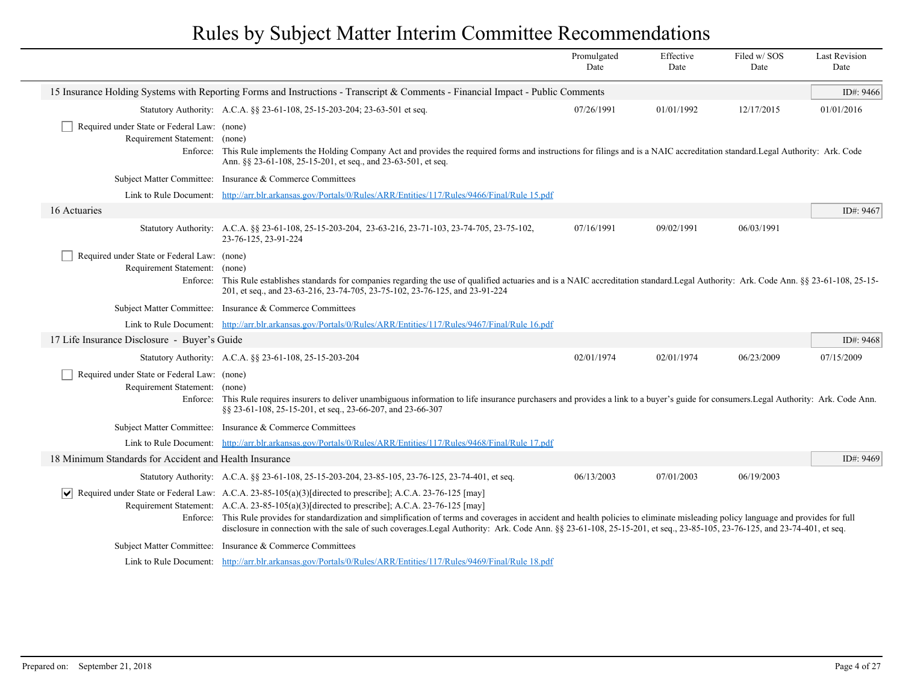|                                                                              |                                                                                                                                                                                                                                                                                                                                                                                                                                                                                                                                                                                   | Promulgated<br>Date | Effective<br>Date | Filed w/SOS<br>Date | <b>Last Revision</b><br>Date |
|------------------------------------------------------------------------------|-----------------------------------------------------------------------------------------------------------------------------------------------------------------------------------------------------------------------------------------------------------------------------------------------------------------------------------------------------------------------------------------------------------------------------------------------------------------------------------------------------------------------------------------------------------------------------------|---------------------|-------------------|---------------------|------------------------------|
|                                                                              | 15 Insurance Holding Systems with Reporting Forms and Instructions - Transcript & Comments - Financial Impact - Public Comments                                                                                                                                                                                                                                                                                                                                                                                                                                                   |                     |                   |                     | ID#: 9466                    |
|                                                                              | Statutory Authority: A.C.A. §§ 23-61-108, 25-15-203-204; 23-63-501 et seq.                                                                                                                                                                                                                                                                                                                                                                                                                                                                                                        | 07/26/1991          | 01/01/1992        | 12/17/2015          | 01/01/2016                   |
| Required under State or Federal Law: (none)                                  |                                                                                                                                                                                                                                                                                                                                                                                                                                                                                                                                                                                   |                     |                   |                     |                              |
| Requirement Statement:                                                       | (none)<br>Enforce: This Rule implements the Holding Company Act and provides the required forms and instructions for filings and is a NAIC accreditation standard. Legal Authority: Ark. Code<br>Ann. §§ 23-61-108, 25-15-201, et seq., and 23-63-501, et seq.                                                                                                                                                                                                                                                                                                                    |                     |                   |                     |                              |
|                                                                              | Subject Matter Committee: Insurance & Commerce Committees                                                                                                                                                                                                                                                                                                                                                                                                                                                                                                                         |                     |                   |                     |                              |
| Link to Rule Document:                                                       | http://arr.blr.arkansas.gov/Portals/0/Rules/ARR/Entities/117/Rules/9466/Final/Rule 15.pdf                                                                                                                                                                                                                                                                                                                                                                                                                                                                                         |                     |                   |                     |                              |
| 16 Actuaries                                                                 |                                                                                                                                                                                                                                                                                                                                                                                                                                                                                                                                                                                   |                     |                   |                     | ID#: 9467                    |
|                                                                              | Statutory Authority: A.C.A. §§ 23-61-108, 25-15-203-204, 23-63-216, 23-71-103, 23-74-705, 23-75-102,<br>23-76-125, 23-91-224                                                                                                                                                                                                                                                                                                                                                                                                                                                      | 07/16/1991          | 09/02/1991        | 06/03/1991          |                              |
| Required under State or Federal Law: (none)<br>Requirement Statement: (none) | Enforce: This Rule establishes standards for companies regarding the use of qualified actuaries and is a NAIC accreditation standard. Legal Authority: Ark. Code Ann. §§ 23-61-108, 25-15-<br>201, et seq., and 23-63-216, 23-74-705, 23-75-102, 23-76-125, and 23-91-224                                                                                                                                                                                                                                                                                                         |                     |                   |                     |                              |
|                                                                              | Subject Matter Committee: Insurance & Commerce Committees                                                                                                                                                                                                                                                                                                                                                                                                                                                                                                                         |                     |                   |                     |                              |
|                                                                              | Link to Rule Document: http://arr.blr.arkansas.gov/Portals/0/Rules/ARR/Entities/117/Rules/9467/Final/Rule 16.pdf                                                                                                                                                                                                                                                                                                                                                                                                                                                                  |                     |                   |                     |                              |
| 17 Life Insurance Disclosure - Buyer's Guide                                 |                                                                                                                                                                                                                                                                                                                                                                                                                                                                                                                                                                                   |                     |                   |                     | ID#: 9468                    |
|                                                                              | Statutory Authority: A.C.A. §§ 23-61-108, 25-15-203-204                                                                                                                                                                                                                                                                                                                                                                                                                                                                                                                           | 02/01/1974          | 02/01/1974        | 06/23/2009          | 07/15/2009                   |
| Required under State or Federal Law: (none)<br>Requirement Statement: (none) | Enforce: This Rule requires insurers to deliver unambiguous information to life insurance purchasers and provides a link to a buyer's guide for consumers. Legal Authority: Ark. Code Ann.<br>§§ 23-61-108, 25-15-201, et seq., 23-66-207, and 23-66-307                                                                                                                                                                                                                                                                                                                          |                     |                   |                     |                              |
|                                                                              | Subject Matter Committee: Insurance & Commerce Committees                                                                                                                                                                                                                                                                                                                                                                                                                                                                                                                         |                     |                   |                     |                              |
|                                                                              | Link to Rule Document: http://arr.blr.arkansas.gov/Portals/0/Rules/ARR/Entities/117/Rules/9468/Final/Rule 17.pdf                                                                                                                                                                                                                                                                                                                                                                                                                                                                  |                     |                   |                     |                              |
| 18 Minimum Standards for Accident and Health Insurance                       |                                                                                                                                                                                                                                                                                                                                                                                                                                                                                                                                                                                   |                     |                   |                     | ID#: 9469                    |
|                                                                              | Statutory Authority: A.C.A. §§ 23-61-108, 25-15-203-204, 23-85-105, 23-76-125, 23-74-401, et seq.                                                                                                                                                                                                                                                                                                                                                                                                                                                                                 | 06/13/2003          | 07/01/2003        | 06/19/2003          |                              |
| $ \mathsf{v} $                                                               | Required under State or Federal Law: A.C.A. 23-85-105(a)(3)[directed to prescribe]; A.C.A. 23-76-125 [may]<br>Requirement Statement: A.C.A. 23-85-105(a)(3)[directed to prescribe]; A.C.A. 23-76-125 [may]<br>Enforce: This Rule provides for standardization and simplification of terms and coverages in accident and health policies to eliminate misleading policy language and provides for full<br>disclosure in connection with the sale of such coverages. Legal Authority: Ark. Code Ann. §§ 23-61-108, 25-15-201, et seq., 23-85-105, 23-76-125, and 23-74-401, et seq. |                     |                   |                     |                              |
|                                                                              | Subject Matter Committee: Insurance & Commerce Committees                                                                                                                                                                                                                                                                                                                                                                                                                                                                                                                         |                     |                   |                     |                              |
|                                                                              | Link to Rule Document: http://arr.blr.arkansas.gov/Portals/0/Rules/ARR/Entities/117/Rules/9469/Final/Rule 18.pdf                                                                                                                                                                                                                                                                                                                                                                                                                                                                  |                     |                   |                     |                              |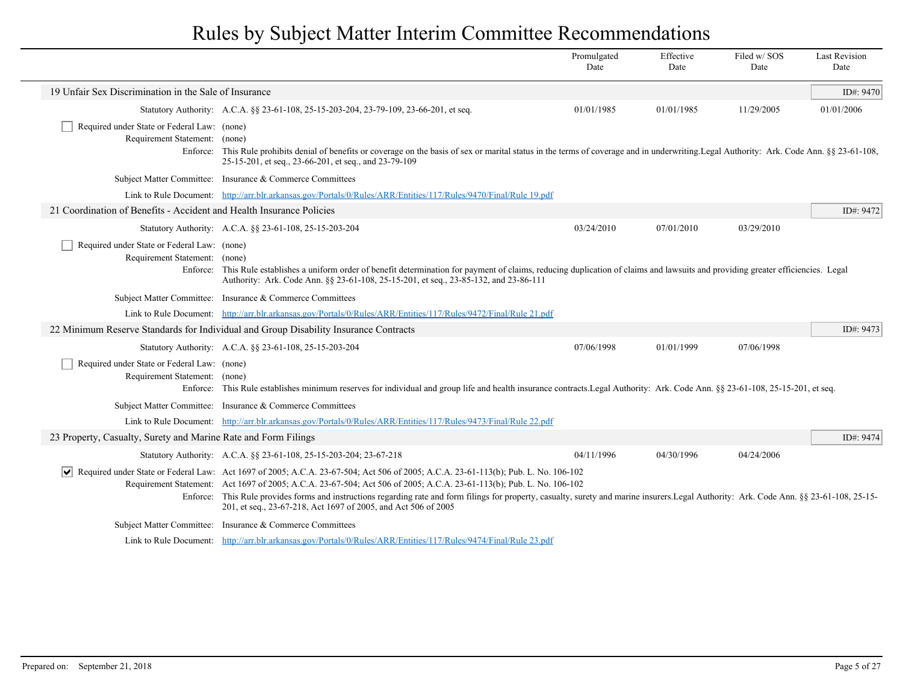|                                                                              |                                                                                                                                                                                                                                                                              | Promulgated<br>Date                                                                                                                                                                                                                                                                                                                                                                                                                                              | Effective<br>Date | Filed w/SOS<br>Date | <b>Last Revision</b><br>Date |  |
|------------------------------------------------------------------------------|------------------------------------------------------------------------------------------------------------------------------------------------------------------------------------------------------------------------------------------------------------------------------|------------------------------------------------------------------------------------------------------------------------------------------------------------------------------------------------------------------------------------------------------------------------------------------------------------------------------------------------------------------------------------------------------------------------------------------------------------------|-------------------|---------------------|------------------------------|--|
| 19 Unfair Sex Discrimination in the Sale of Insurance                        |                                                                                                                                                                                                                                                                              |                                                                                                                                                                                                                                                                                                                                                                                                                                                                  |                   |                     | ID#: 9470                    |  |
|                                                                              | Statutory Authority: A.C.A. §§ 23-61-108, 25-15-203-204, 23-79-109, 23-66-201, et seq.                                                                                                                                                                                       | 01/01/1985                                                                                                                                                                                                                                                                                                                                                                                                                                                       | 01/01/1985        | 11/29/2005          | 01/01/2006                   |  |
| Required under State or Federal Law: (none)<br>Requirement Statement: (none) | Enforce: This Rule prohibits denial of benefits or coverage on the basis of sex or marital status in the terms of coverage and in underwriting Legal Authority: Ark. Code Ann. §§ 23-61-108,<br>25-15-201, et seq., 23-66-201, et seq., and 23-79-109                        |                                                                                                                                                                                                                                                                                                                                                                                                                                                                  |                   |                     |                              |  |
|                                                                              | Subject Matter Committee: Insurance & Commerce Committees                                                                                                                                                                                                                    |                                                                                                                                                                                                                                                                                                                                                                                                                                                                  |                   |                     |                              |  |
|                                                                              | Link to Rule Document: http://arr.blr.arkansas.gov/Portals/0/Rules/ARR/Entities/117/Rules/9470/Final/Rule 19.pdf                                                                                                                                                             |                                                                                                                                                                                                                                                                                                                                                                                                                                                                  |                   |                     |                              |  |
| 21 Coordination of Benefits - Accident and Health Insurance Policies         |                                                                                                                                                                                                                                                                              |                                                                                                                                                                                                                                                                                                                                                                                                                                                                  |                   |                     | ID#: 9472                    |  |
|                                                                              | Statutory Authority: A.C.A. §§ 23-61-108, 25-15-203-204                                                                                                                                                                                                                      | 03/24/2010                                                                                                                                                                                                                                                                                                                                                                                                                                                       | 07/01/2010        | 03/29/2010          |                              |  |
| Required under State or Federal Law: (none)<br>Requirement Statement: (none) | Enforce: This Rule establishes a uniform order of benefit determination for payment of claims, reducing duplication of claims and lawsuits and providing greater efficiencies. Legal<br>Authority: Ark. Code Ann. §§ 23-61-108, 25-15-201, et seq., 23-85-132, and 23-86-111 |                                                                                                                                                                                                                                                                                                                                                                                                                                                                  |                   |                     |                              |  |
|                                                                              | Subject Matter Committee: Insurance & Commerce Committees                                                                                                                                                                                                                    |                                                                                                                                                                                                                                                                                                                                                                                                                                                                  |                   |                     |                              |  |
|                                                                              | Link to Rule Document: http://arr.blr.arkansas.gov/Portals/0/Rules/ARR/Entities/117/Rules/9472/Final/Rule 21.pdf                                                                                                                                                             |                                                                                                                                                                                                                                                                                                                                                                                                                                                                  |                   |                     |                              |  |
|                                                                              | 22 Minimum Reserve Standards for Individual and Group Disability Insurance Contracts                                                                                                                                                                                         |                                                                                                                                                                                                                                                                                                                                                                                                                                                                  |                   |                     | ID#: 9473                    |  |
|                                                                              | Statutory Authority: A.C.A. §§ 23-61-108, 25-15-203-204                                                                                                                                                                                                                      | 07/06/1998                                                                                                                                                                                                                                                                                                                                                                                                                                                       | 01/01/1999        | 07/06/1998          |                              |  |
| Required under State or Federal Law: (none)<br>Requirement Statement:        | (none)<br>Enforce: This Rule establishes minimum reserves for individual and group life and health insurance contracts. Legal Authority: Ark. Code Ann. §§ 23-61-108, 25-15-201, et seq.                                                                                     |                                                                                                                                                                                                                                                                                                                                                                                                                                                                  |                   |                     |                              |  |
|                                                                              | Subject Matter Committee: Insurance & Commerce Committees                                                                                                                                                                                                                    |                                                                                                                                                                                                                                                                                                                                                                                                                                                                  |                   |                     |                              |  |
|                                                                              | Link to Rule Document: http://arr.blr.arkansas.gov/Portals/0/Rules/ARR/Entities/117/Rules/9473/Final/Rule 22.pdf                                                                                                                                                             |                                                                                                                                                                                                                                                                                                                                                                                                                                                                  |                   |                     |                              |  |
| 23 Property, Casualty, Surety and Marine Rate and Form Filings               |                                                                                                                                                                                                                                                                              |                                                                                                                                                                                                                                                                                                                                                                                                                                                                  |                   |                     | ID#: 9474                    |  |
|                                                                              | Statutory Authority: A.C.A. §§ 23-61-108, 25-15-203-204; 23-67-218                                                                                                                                                                                                           | 04/11/1996                                                                                                                                                                                                                                                                                                                                                                                                                                                       | 04/30/1996        | 04/24/2006          |                              |  |
|                                                                              | 201, et seq., 23-67-218, Act 1697 of 2005, and Act 506 of 2005                                                                                                                                                                                                               | $\vee$ Required under State or Federal Law: Act 1697 of 2005; A.C.A. 23-67-504; Act 506 of 2005; A.C.A. 23-61-113(b); Pub. L. No. 106-102<br>Requirement Statement: Act 1697 of 2005; A.C.A. 23-67-504; Act 506 of 2005; A.C.A. 23-61-113(b); Pub. L. No. 106-102<br>Enforce: This Rule provides forms and instructions regarding rate and form filings for property, casualty, surety and marine insurers. Legal Authority: Ark. Code Ann. §§ 23-61-108, 25-15- |                   |                     |                              |  |
|                                                                              | Subject Matter Committee: Insurance & Commerce Committees                                                                                                                                                                                                                    |                                                                                                                                                                                                                                                                                                                                                                                                                                                                  |                   |                     |                              |  |
|                                                                              | Link to Rule Document: http://arr.blr.arkansas.gov/Portals/0/Rules/ARR/Entities/117/Rules/9474/Final/Rule 23.pdf                                                                                                                                                             |                                                                                                                                                                                                                                                                                                                                                                                                                                                                  |                   |                     |                              |  |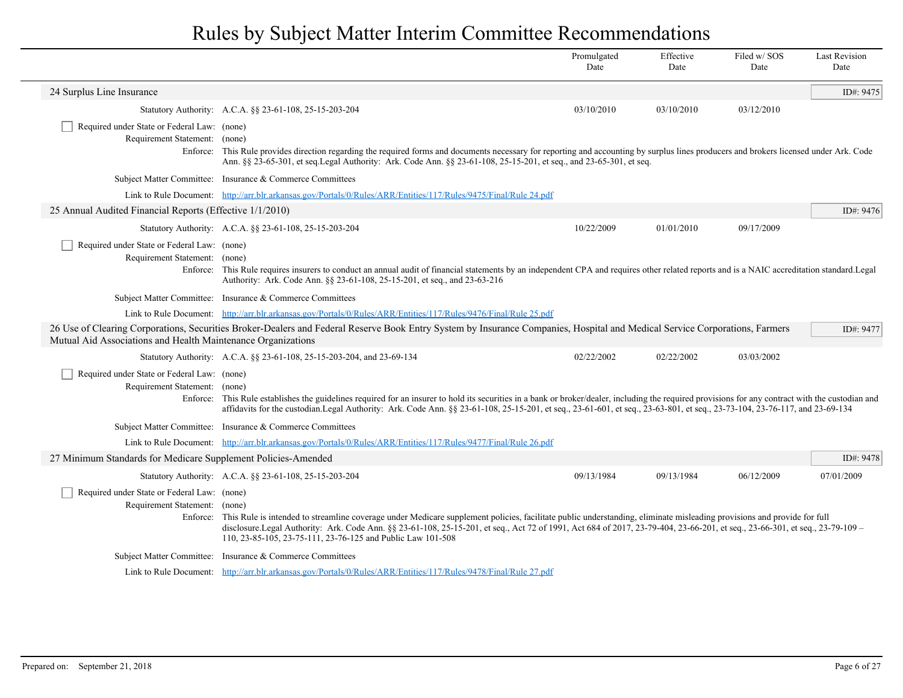|                                                                              |                                                                                                                                                                                                                                                                                                                                                                                                                                | Promulgated<br>Date | Effective<br>Date | Filed w/SOS<br>Date | <b>Last Revision</b><br>Date |
|------------------------------------------------------------------------------|--------------------------------------------------------------------------------------------------------------------------------------------------------------------------------------------------------------------------------------------------------------------------------------------------------------------------------------------------------------------------------------------------------------------------------|---------------------|-------------------|---------------------|------------------------------|
| 24 Surplus Line Insurance                                                    |                                                                                                                                                                                                                                                                                                                                                                                                                                |                     |                   |                     | ID#: 9475                    |
|                                                                              | Statutory Authority: A.C.A. §§ 23-61-108, 25-15-203-204                                                                                                                                                                                                                                                                                                                                                                        | 03/10/2010          | 03/10/2010        | 03/12/2010          |                              |
| Required under State or Federal Law: (none)<br>Requirement Statement: (none) | Enforce: This Rule provides direction regarding the required forms and documents necessary for reporting and accounting by surplus lines producers and brokers licensed under Ark. Code<br>Ann. §§ 23-65-301, et seq.Legal Authority: Ark. Code Ann. §§ 23-61-108, 25-15-201, et seq., and 23-65-301, et seq.                                                                                                                  |                     |                   |                     |                              |
|                                                                              | Subject Matter Committee: Insurance & Commerce Committees                                                                                                                                                                                                                                                                                                                                                                      |                     |                   |                     |                              |
|                                                                              | Link to Rule Document: http://arr.blr.arkansas.gov/Portals/0/Rules/ARR/Entities/117/Rules/9475/Final/Rule 24.pdf                                                                                                                                                                                                                                                                                                               |                     |                   |                     |                              |
| 25 Annual Audited Financial Reports (Effective 1/1/2010)                     |                                                                                                                                                                                                                                                                                                                                                                                                                                |                     |                   |                     | ID#: 9476                    |
|                                                                              | Statutory Authority: A.C.A. §§ 23-61-108, 25-15-203-204                                                                                                                                                                                                                                                                                                                                                                        | 10/22/2009          | 01/01/2010        | 09/17/2009          |                              |
| Required under State or Federal Law: (none)<br>Requirement Statement: (none) | Enforce: This Rule requires insurers to conduct an annual audit of financial statements by an independent CPA and requires other related reports and is a NAIC accreditation standard. Legal<br>Authority: Ark. Code Ann. §§ 23-61-108, 25-15-201, et seq., and 23-63-216                                                                                                                                                      |                     |                   |                     |                              |
|                                                                              | Subject Matter Committee: Insurance & Commerce Committees                                                                                                                                                                                                                                                                                                                                                                      |                     |                   |                     |                              |
|                                                                              | Link to Rule Document: http://arr.blr.arkansas.gov/Portals/0/Rules/ARR/Entities/117/Rules/9476/Final/Rule 25.pdf                                                                                                                                                                                                                                                                                                               |                     |                   |                     |                              |
| Mutual Aid Associations and Health Maintenance Organizations                 | 26 Use of Clearing Corporations, Securities Broker-Dealers and Federal Reserve Book Entry System by Insurance Companies, Hospital and Medical Service Corporations, Farmers                                                                                                                                                                                                                                                    |                     |                   |                     | ID#: 9477                    |
|                                                                              | Statutory Authority: A.C.A. §§ 23-61-108, 25-15-203-204, and 23-69-134                                                                                                                                                                                                                                                                                                                                                         | 02/22/2002          | 02/22/2002        | 03/03/2002          |                              |
| Required under State or Federal Law: (none)<br>Requirement Statement: (none) | Enforce: This Rule establishes the guidelines required for an insurer to hold its securities in a bank or broker/dealer, including the required provisions for any contract with the custodian and<br>affidavits for the custodian.Legal Authority: Ark. Code Ann. §§ 23-61-108, 25-15-201, et seq., 23-61-601, et seq., 23-63-801, et seq., 23-73-104, 23-76-117, and 23-69-134                                               |                     |                   |                     |                              |
|                                                                              | Subject Matter Committee: Insurance & Commerce Committees                                                                                                                                                                                                                                                                                                                                                                      |                     |                   |                     |                              |
|                                                                              | Link to Rule Document: http://arr.blr.arkansas.gov/Portals/0/Rules/ARR/Entities/117/Rules/9477/Final/Rule 26.pdf                                                                                                                                                                                                                                                                                                               |                     |                   |                     |                              |
| 27 Minimum Standards for Medicare Supplement Policies-Amended                |                                                                                                                                                                                                                                                                                                                                                                                                                                |                     |                   |                     | ID#: 9478                    |
|                                                                              | Statutory Authority: A.C.A. §§ 23-61-108, 25-15-203-204                                                                                                                                                                                                                                                                                                                                                                        | 09/13/1984          | 09/13/1984        | 06/12/2009          | 07/01/2009                   |
| Required under State or Federal Law: (none)<br>Requirement Statement: (none) | Enforce: This Rule is intended to streamline coverage under Medicare supplement policies, facilitate public understanding, eliminate misleading provisions and provide for full<br>disclosure.Legal Authority: Ark. Code Ann. §§ 23-61-108, 25-15-201, et seq., Act 72 of 1991, Act 684 of 2017, 23-79-404, 23-66-201, et seq., 23-66-301, et seq., 23-79-109 -<br>110, 23-85-105, 23-75-111, 23-76-125 and Public Law 101-508 |                     |                   |                     |                              |
|                                                                              | Subject Matter Committee: Insurance & Commerce Committees                                                                                                                                                                                                                                                                                                                                                                      |                     |                   |                     |                              |
|                                                                              | Link to Rule Document: http://arr.blr.arkansas.gov/Portals/0/Rules/ARR/Entities/117/Rules/9478/Final/Rule 27.pdf                                                                                                                                                                                                                                                                                                               |                     |                   |                     |                              |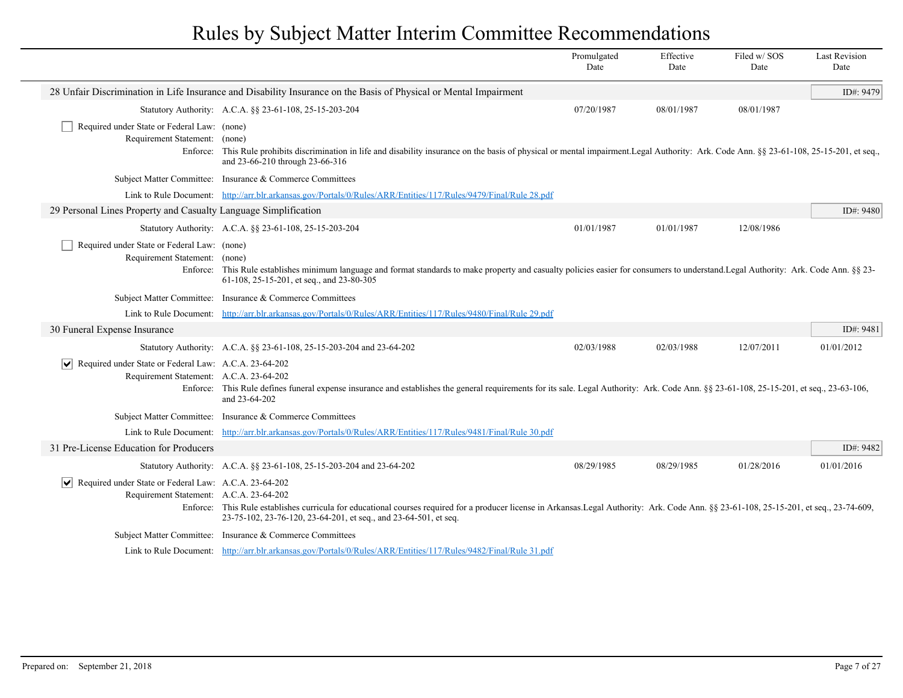|                                                                                                                          |                                                                                                                                                                                                                                                               | Promulgated<br>Date | Effective<br>Date | Filed w/SOS<br>Date | <b>Last Revision</b><br>Date |
|--------------------------------------------------------------------------------------------------------------------------|---------------------------------------------------------------------------------------------------------------------------------------------------------------------------------------------------------------------------------------------------------------|---------------------|-------------------|---------------------|------------------------------|
|                                                                                                                          | 28 Unfair Discrimination in Life Insurance and Disability Insurance on the Basis of Physical or Mental Impairment                                                                                                                                             |                     |                   |                     | ID#: 9479                    |
|                                                                                                                          | Statutory Authority: A.C.A. §§ 23-61-108, 25-15-203-204                                                                                                                                                                                                       | 07/20/1987          | 08/01/1987        | 08/01/1987          |                              |
| Required under State or Federal Law: (none)<br>Requirement Statement: (none)<br>Enforce:                                 | This Rule prohibits discrimination in life and disability insurance on the basis of physical or mental impairment. Legal Authority: Ark. Code Ann. §§ 23-61-108, 25-15-201, et seq.,<br>and 23-66-210 through 23-66-316                                       |                     |                   |                     |                              |
|                                                                                                                          | Subject Matter Committee: Insurance & Commerce Committees                                                                                                                                                                                                     |                     |                   |                     |                              |
|                                                                                                                          | Link to Rule Document: http://arr.blr.arkansas.gov/Portals/0/Rules/ARR/Entities/117/Rules/9479/Final/Rule 28.pdf                                                                                                                                              |                     |                   |                     |                              |
| 29 Personal Lines Property and Casualty Language Simplification                                                          |                                                                                                                                                                                                                                                               |                     |                   |                     | ID#: 9480                    |
|                                                                                                                          | Statutory Authority: A.C.A. §§ 23-61-108, 25-15-203-204                                                                                                                                                                                                       | 01/01/1987          | 01/01/1987        | 12/08/1986          |                              |
| Required under State or Federal Law: (none)<br>Requirement Statement: (none)                                             | Enforce: This Rule establishes minimum language and format standards to make property and casualty policies easier for consumers to understand. Legal Authority: Ark. Code Ann. §§ 23-<br>61-108, 25-15-201, et seq., and 23-80-305                           |                     |                   |                     |                              |
|                                                                                                                          | Subject Matter Committee: Insurance & Commerce Committees                                                                                                                                                                                                     |                     |                   |                     |                              |
|                                                                                                                          | Link to Rule Document: http://arr.blr.arkansas.gov/Portals/0/Rules/ARR/Entities/117/Rules/9480/Final/Rule 29.pdf                                                                                                                                              |                     |                   |                     |                              |
| 30 Funeral Expense Insurance                                                                                             |                                                                                                                                                                                                                                                               |                     |                   |                     | ID#: 9481                    |
|                                                                                                                          | Statutory Authority: A.C.A. §§ 23-61-108, 25-15-203-204 and 23-64-202                                                                                                                                                                                         | 02/03/1988          | 02/03/1988        | 12/07/2011          | 01/01/2012                   |
| $ \vec{\triangledown} $ Required under State or Federal Law: A.C.A. 23-64-202<br>Requirement Statement: A.C.A. 23-64-202 | Enforce: This Rule defines funeral expense insurance and establishes the general requirements for its sale. Legal Authority: Ark. Code Ann. §§ 23-61-108, 25-15-201, et seq., 23-63-106,<br>and 23-64-202                                                     |                     |                   |                     |                              |
|                                                                                                                          | Subject Matter Committee: Insurance & Commerce Committees                                                                                                                                                                                                     |                     |                   |                     |                              |
|                                                                                                                          | Link to Rule Document: http://arr.blr.arkansas.gov/Portals/0/Rules/ARR/Entities/117/Rules/9481/Final/Rule 30.pdf                                                                                                                                              |                     |                   |                     |                              |
| 31 Pre-License Education for Producers                                                                                   |                                                                                                                                                                                                                                                               |                     |                   |                     | ID#: 9482                    |
|                                                                                                                          | Statutory Authority: A.C.A. §§ 23-61-108, 25-15-203-204 and 23-64-202                                                                                                                                                                                         | 08/29/1985          | 08/29/1985        | 01/28/2016          | 01/01/2016                   |
| Required under State or Federal Law: A.C.A. 23-64-202<br>Requirement Statement: A.C.A. 23-64-202                         | Enforce: This Rule establishes curricula for educational courses required for a producer license in Arkansas.Legal Authority: Ark. Code Ann. §§ 23-61-108, 25-15-201, et seq., 23-74-609,<br>23-75-102, 23-76-120, 23-64-201, et seq., and 23-64-501, et seq. |                     |                   |                     |                              |
| Subject Matter Committee:                                                                                                | Insurance & Commerce Committees                                                                                                                                                                                                                               |                     |                   |                     |                              |
|                                                                                                                          | Link to Rule Document: http://arr.blr.arkansas.gov/Portals/0/Rules/ARR/Entities/117/Rules/9482/Final/Rule 31.pdf                                                                                                                                              |                     |                   |                     |                              |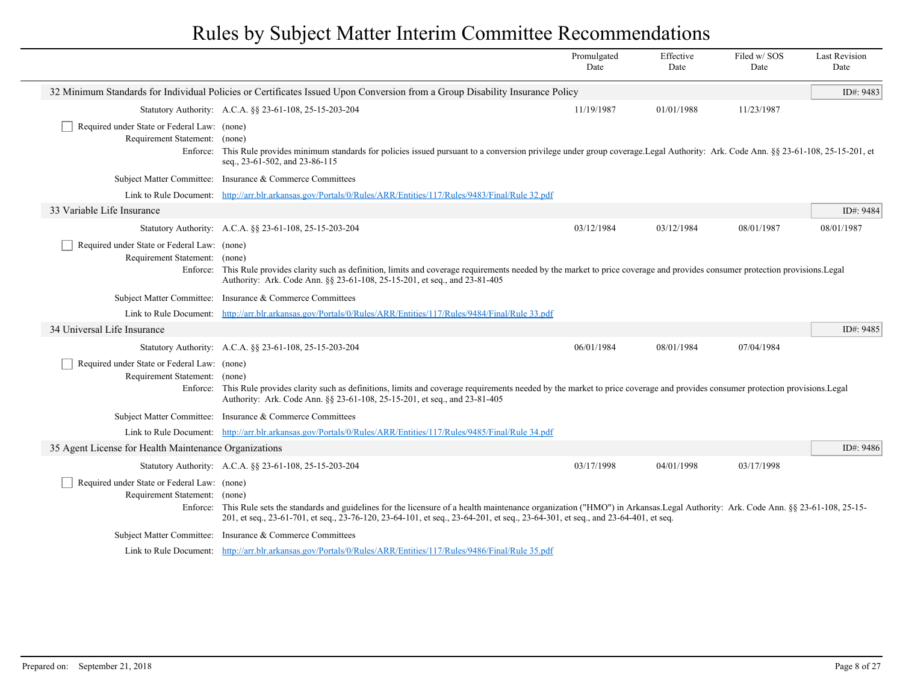|                                                                                   |                                                                                                                                                                                                                                                                                                                          | Promulgated<br>Date | Effective<br>Date | Filed w/SOS<br>Date | <b>Last Revision</b><br>Date |  |
|-----------------------------------------------------------------------------------|--------------------------------------------------------------------------------------------------------------------------------------------------------------------------------------------------------------------------------------------------------------------------------------------------------------------------|---------------------|-------------------|---------------------|------------------------------|--|
|                                                                                   | 32 Minimum Standards for Individual Policies or Certificates Issued Upon Conversion from a Group Disability Insurance Policy                                                                                                                                                                                             |                     |                   |                     | ID#: 9483                    |  |
|                                                                                   | Statutory Authority: A.C.A. §§ 23-61-108, 25-15-203-204                                                                                                                                                                                                                                                                  | 11/19/1987          | 01/01/1988        | 11/23/1987          |                              |  |
| Required under State or Federal Law: (none)<br>Requirement Statement:<br>Enforce: | (none)<br>This Rule provides minimum standards for policies issued pursuant to a conversion privilege under group coverage.Legal Authority: Ark. Code Ann. §§ 23-61-108, 25-15-201, et<br>seq., 23-61-502, and 23-86-115                                                                                                 |                     |                   |                     |                              |  |
|                                                                                   | Subject Matter Committee: Insurance & Commerce Committees                                                                                                                                                                                                                                                                |                     |                   |                     |                              |  |
|                                                                                   | Link to Rule Document: http://arr.blr.arkansas.gov/Portals/0/Rules/ARR/Entities/117/Rules/9483/Final/Rule 32.pdf                                                                                                                                                                                                         |                     |                   |                     |                              |  |
| 33 Variable Life Insurance                                                        |                                                                                                                                                                                                                                                                                                                          |                     |                   |                     | ID#: 9484                    |  |
|                                                                                   | Statutory Authority: A.C.A. §§ 23-61-108, 25-15-203-204                                                                                                                                                                                                                                                                  | 03/12/1984          | 03/12/1984        | 08/01/1987          | 08/01/1987                   |  |
| Required under State or Federal Law: (none)<br>Requirement Statement: (none)      | Enforce: This Rule provides clarity such as definition, limits and coverage requirements needed by the market to price coverage and provides consumer protection provisions. Legal<br>Authority: Ark. Code Ann. §§ 23-61-108, 25-15-201, et seq., and 23-81-405                                                          |                     |                   |                     |                              |  |
| <b>Subject Matter Committee:</b>                                                  | Insurance & Commerce Committees                                                                                                                                                                                                                                                                                          |                     |                   |                     |                              |  |
|                                                                                   | Link to Rule Document: http://arr.blr.arkansas.gov/Portals/0/Rules/ARR/Entities/117/Rules/9484/Final/Rule 33.pdf                                                                                                                                                                                                         |                     |                   |                     |                              |  |
| 34 Universal Life Insurance                                                       |                                                                                                                                                                                                                                                                                                                          |                     |                   |                     | ID#: 9485                    |  |
|                                                                                   | Statutory Authority: A.C.A. §§ 23-61-108, 25-15-203-204                                                                                                                                                                                                                                                                  | 06/01/1984          | 08/01/1984        | 07/04/1984          |                              |  |
| Required under State or Federal Law: (none)<br>Requirement Statement: (none)      | Enforce: This Rule provides clarity such as definitions, limits and coverage requirements needed by the market to price coverage and provides consumer protection provisions. Legal<br>Authority: Ark. Code Ann. §§ 23-61-108, 25-15-201, et seq., and 23-81-405                                                         |                     |                   |                     |                              |  |
|                                                                                   | Subject Matter Committee: Insurance & Commerce Committees                                                                                                                                                                                                                                                                |                     |                   |                     |                              |  |
|                                                                                   | Link to Rule Document: http://arr.blr.arkansas.gov/Portals/0/Rules/ARR/Entities/117/Rules/9485/Final/Rule 34.pdf                                                                                                                                                                                                         |                     |                   |                     |                              |  |
| 35 Agent License for Health Maintenance Organizations                             |                                                                                                                                                                                                                                                                                                                          |                     |                   |                     | ID#: 9486                    |  |
|                                                                                   | Statutory Authority: A.C.A. §§ 23-61-108, 25-15-203-204                                                                                                                                                                                                                                                                  | 03/17/1998          | 04/01/1998        | 03/17/1998          |                              |  |
| Required under State or Federal Law: (none)<br>Requirement Statement: (none)      | Enforce: This Rule sets the standards and guidelines for the licensure of a health maintenance organization ("HMO") in Arkansas. Legal Authority: Ark. Code Ann. §§ 23-61-108, 25-15-<br>201, et seq., 23-61-701, et seq., 23-76-120, 23-64-101, et seq., 23-64-201, et seq., 23-64-301, et seq., and 23-64-401, et seq. |                     |                   |                     |                              |  |
|                                                                                   | Subject Matter Committee: Insurance & Commerce Committees                                                                                                                                                                                                                                                                |                     |                   |                     |                              |  |
|                                                                                   | Link to Rule Document: http://arr.blr.arkansas.gov/Portals/0/Rules/ARR/Entities/117/Rules/9486/Final/Rule 35.pdf                                                                                                                                                                                                         |                     |                   |                     |                              |  |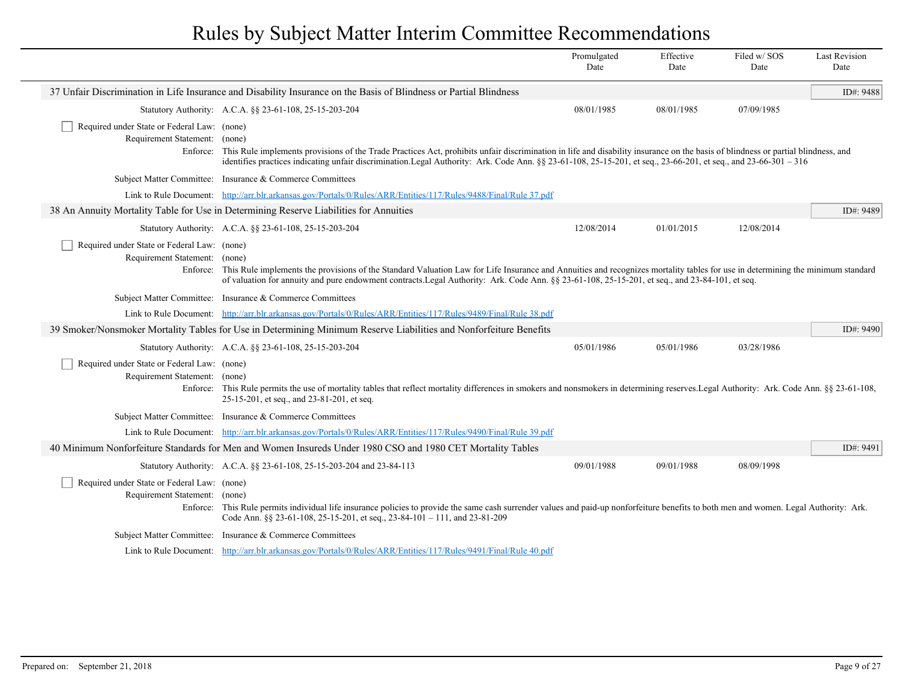|                                                                                          |                                                                                                                                                                                                                                                                                                                                                               | Promulgated<br>Date | Effective<br>Date | Filed w/SOS<br>Date | <b>Last Revision</b><br>Date |
|------------------------------------------------------------------------------------------|---------------------------------------------------------------------------------------------------------------------------------------------------------------------------------------------------------------------------------------------------------------------------------------------------------------------------------------------------------------|---------------------|-------------------|---------------------|------------------------------|
|                                                                                          | 37 Unfair Discrimination in Life Insurance and Disability Insurance on the Basis of Blindness or Partial Blindness                                                                                                                                                                                                                                            |                     |                   |                     | ID#: 9488                    |
|                                                                                          | Statutory Authority: A.C.A. §§ 23-61-108, 25-15-203-204                                                                                                                                                                                                                                                                                                       | 08/01/1985          | 08/01/1985        | 07/09/1985          |                              |
| Required under State or Federal Law: (none)<br>Requirement Statement:<br>Enforce:        | (none)<br>This Rule implements provisions of the Trade Practices Act, prohibits unfair discrimination in life and disability insurance on the basis of blindness or partial blindness, and<br>identifies practices indicating unfair discrimination.Legal Authority: Ark. Code Ann. §§ 23-61-108, 25-15-201, et seq., 23-66-201, et seq., and 23-66-301 - 316 |                     |                   |                     |                              |
|                                                                                          | Subject Matter Committee: Insurance & Commerce Committees                                                                                                                                                                                                                                                                                                     |                     |                   |                     |                              |
|                                                                                          | Link to Rule Document: http://arr.blr.arkansas.gov/Portals/0/Rules/ARR/Entities/117/Rules/9488/Final/Rule 37.pdf                                                                                                                                                                                                                                              |                     |                   |                     |                              |
|                                                                                          | 38 An Annuity Mortality Table for Use in Determining Reserve Liabilities for Annuities                                                                                                                                                                                                                                                                        |                     |                   |                     | ID#: 9489                    |
|                                                                                          | Statutory Authority: A.C.A. §§ 23-61-108, 25-15-203-204                                                                                                                                                                                                                                                                                                       | 12/08/2014          | 01/01/2015        | 12/08/2014          |                              |
| Required under State or Federal Law: (none)<br>Requirement Statement: (none)<br>Enforce: | This Rule implements the provisions of the Standard Valuation Law for Life Insurance and Annuities and recognizes mortality tables for use in determining the minimum standard<br>of valuation for annuity and pure endowment contracts. Legal Authority: Ark. Code Ann. §§ 23-61-108, 25-15-201, et seq., and 23-84-101, et seq.                             |                     |                   |                     |                              |
|                                                                                          | Subject Matter Committee: Insurance & Commerce Committees                                                                                                                                                                                                                                                                                                     |                     |                   |                     |                              |
|                                                                                          | Link to Rule Document: http://arr.blr.arkansas.gov/Portals/0/Rules/ARR/Entities/117/Rules/9489/Final/Rule 38.pdf                                                                                                                                                                                                                                              |                     |                   |                     |                              |
|                                                                                          | 39 Smoker/Nonsmoker Mortality Tables for Use in Determining Minimum Reserve Liabilities and Nonforfeiture Benefits                                                                                                                                                                                                                                            |                     |                   |                     | ID#: 9490                    |
|                                                                                          | Statutory Authority: A.C.A. §§ 23-61-108, 25-15-203-204                                                                                                                                                                                                                                                                                                       | 05/01/1986          | 05/01/1986        | 03/28/1986          |                              |
| Required under State or Federal Law: (none)<br>Requirement Statement: (none)             | Enforce: This Rule permits the use of mortality tables that reflect mortality differences in smokers and nonsmokers in determining reserves. Legal Authority: Ark. Code Ann. § § 23-61-108,<br>25-15-201, et seq., and 23-81-201, et seq.                                                                                                                     |                     |                   |                     |                              |
|                                                                                          | Subject Matter Committee: Insurance & Commerce Committees                                                                                                                                                                                                                                                                                                     |                     |                   |                     |                              |
|                                                                                          | Link to Rule Document: http://arr.blr.arkansas.gov/Portals/0/Rules/ARR/Entities/117/Rules/9490/Final/Rule 39.pdf                                                                                                                                                                                                                                              |                     |                   |                     |                              |
|                                                                                          | 40 Minimum Nonforfeiture Standards for Men and Women Insureds Under 1980 CSO and 1980 CET Mortality Tables                                                                                                                                                                                                                                                    |                     |                   |                     | ID#: 9491                    |
|                                                                                          | Statutory Authority: A.C.A. §§ 23-61-108, 25-15-203-204 and 23-84-113                                                                                                                                                                                                                                                                                         | 09/01/1988          | 09/01/1988        | 08/09/1998          |                              |
| Required under State or Federal Law: (none)<br>Requirement Statement: (none)             | Enforce: This Rule permits individual life insurance policies to provide the same cash surrender values and paid-up nonforfeiture benefits to both men and women. Legal Authority: Ark.<br>Code Ann. §§ 23-61-108, 25-15-201, et seq., 23-84-101 - 111, and 23-81-209                                                                                         |                     |                   |                     |                              |
| <b>Subject Matter Committee:</b>                                                         | Insurance & Commerce Committees                                                                                                                                                                                                                                                                                                                               |                     |                   |                     |                              |
|                                                                                          | Link to Rule Document: http://arr.blr.arkansas.gov/Portals/0/Rules/ARR/Entities/117/Rules/9491/Final/Rule 40.pdf                                                                                                                                                                                                                                              |                     |                   |                     |                              |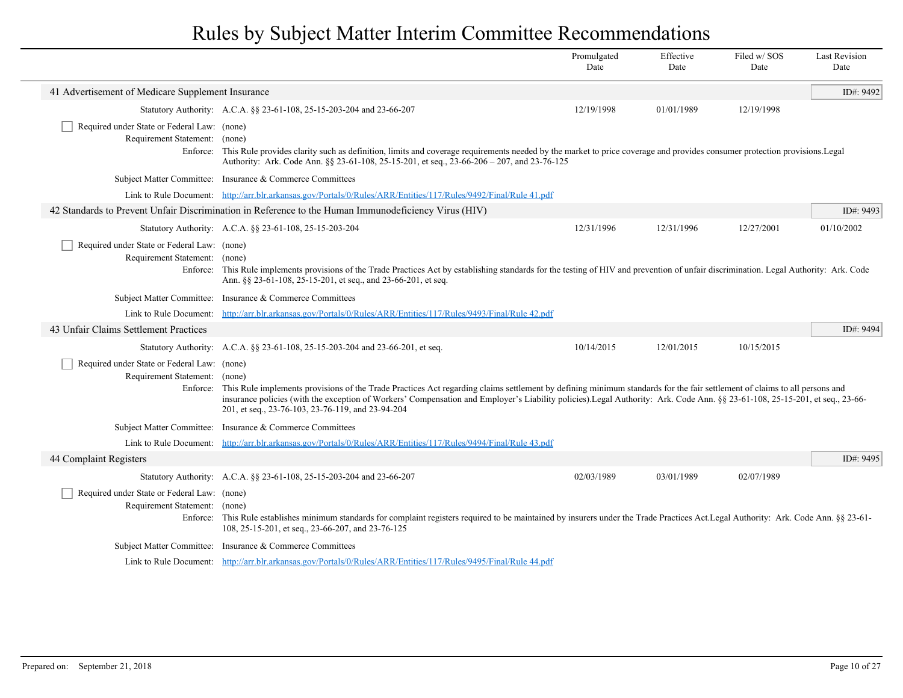|                                                                                   |                                                                                                                                                                                                                                                                                                                                                                                                                          | Promulgated<br>Date | Effective<br>Date | Filed w/SOS<br>Date | <b>Last Revision</b><br>Date |
|-----------------------------------------------------------------------------------|--------------------------------------------------------------------------------------------------------------------------------------------------------------------------------------------------------------------------------------------------------------------------------------------------------------------------------------------------------------------------------------------------------------------------|---------------------|-------------------|---------------------|------------------------------|
| 41 Advertisement of Medicare Supplement Insurance                                 |                                                                                                                                                                                                                                                                                                                                                                                                                          |                     |                   |                     | ID#: 9492                    |
|                                                                                   | Statutory Authority: A.C.A. §§ 23-61-108, 25-15-203-204 and 23-66-207                                                                                                                                                                                                                                                                                                                                                    | 12/19/1998          | 01/01/1989        | 12/19/1998          |                              |
| Required under State or Federal Law: (none)<br>Requirement Statement:             | (none)<br>Enforce: This Rule provides clarity such as definition, limits and coverage requirements needed by the market to price coverage and provides consumer protection provisions. Legal<br>Authority: Ark. Code Ann. §§ 23-61-108, 25-15-201, et seq., 23-66-206 – 207, and 23-76-125                                                                                                                               |                     |                   |                     |                              |
|                                                                                   | Subject Matter Committee: Insurance & Commerce Committees                                                                                                                                                                                                                                                                                                                                                                |                     |                   |                     |                              |
| Link to Rule Document:                                                            | http://arr.blr.arkansas.gov/Portals/0/Rules/ARR/Entities/117/Rules/9492/Final/Rule 41.pdf                                                                                                                                                                                                                                                                                                                                |                     |                   |                     |                              |
|                                                                                   | 42 Standards to Prevent Unfair Discrimination in Reference to the Human Immunodeficiency Virus (HIV)                                                                                                                                                                                                                                                                                                                     |                     |                   |                     | ID#: 9493                    |
|                                                                                   | Statutory Authority: A.C.A. §§ 23-61-108, 25-15-203-204                                                                                                                                                                                                                                                                                                                                                                  | 12/31/1996          | 12/31/1996        | 12/27/2001          | 01/10/2002                   |
| Required under State or Federal Law: (none)<br>Requirement Statement:             | (none)<br>Enforce: This Rule implements provisions of the Trade Practices Act by establishing standards for the testing of HIV and prevention of unfair discrimination. Legal Authority: Ark. Code<br>Ann. §§ 23-61-108, 25-15-201, et seq., and 23-66-201, et seq.                                                                                                                                                      |                     |                   |                     |                              |
| <b>Subject Matter Committee:</b>                                                  | Insurance & Commerce Committees                                                                                                                                                                                                                                                                                                                                                                                          |                     |                   |                     |                              |
| Link to Rule Document:                                                            | http://arr.blr.arkansas.gov/Portals/0/Rules/ARR/Entities/117/Rules/9493/Final/Rule 42.pdf                                                                                                                                                                                                                                                                                                                                |                     |                   |                     |                              |
| 43 Unfair Claims Settlement Practices                                             |                                                                                                                                                                                                                                                                                                                                                                                                                          |                     |                   |                     | ID#: 9494                    |
|                                                                                   | Statutory Authority: A.C.A. §§ 23-61-108, 25-15-203-204 and 23-66-201, et seq.                                                                                                                                                                                                                                                                                                                                           | 10/14/2015          | 12/01/2015        | 10/15/2015          |                              |
| Required under State or Federal Law: (none)<br>Requirement Statement:<br>Enforce: | (none)<br>This Rule implements provisions of the Trade Practices Act regarding claims settlement by defining minimum standards for the fair settlement of claims to all persons and<br>insurance policies (with the exception of Workers' Compensation and Employer's Liability policies). Legal Authority: Ark. Code Ann. §§ 23-61-108, 25-15-201, et seq., 23-66-<br>201, et seq., 23-76-103, 23-76-119, and 23-94-204 |                     |                   |                     |                              |
| <b>Subject Matter Committee:</b>                                                  | Insurance & Commerce Committees                                                                                                                                                                                                                                                                                                                                                                                          |                     |                   |                     |                              |
|                                                                                   | Link to Rule Document: http://arr.blr.arkansas.gov/Portals/0/Rules/ARR/Entities/117/Rules/9494/Final/Rule 43.pdf                                                                                                                                                                                                                                                                                                         |                     |                   |                     |                              |
| 44 Complaint Registers                                                            |                                                                                                                                                                                                                                                                                                                                                                                                                          |                     |                   |                     | ID#: 9495                    |
|                                                                                   | Statutory Authority: A.C.A. §§ 23-61-108, 25-15-203-204 and 23-66-207                                                                                                                                                                                                                                                                                                                                                    | 02/03/1989          | 03/01/1989        | 02/07/1989          |                              |
| Required under State or Federal Law: (none)<br>Requirement Statement:             | (none)<br>Enforce: This Rule establishes minimum standards for complaint registers required to be maintained by insurers under the Trade Practices Act. Legal Authority: Ark. Code Ann. §§ 23-61-<br>108, 25-15-201, et seq., 23-66-207, and 23-76-125                                                                                                                                                                   |                     |                   |                     |                              |
| <b>Subject Matter Committee:</b>                                                  | Insurance & Commerce Committees                                                                                                                                                                                                                                                                                                                                                                                          |                     |                   |                     |                              |
|                                                                                   | Link to Rule Document: http://arr.blr.arkansas.gov/Portals/0/Rules/ARR/Entities/117/Rules/9495/Final/Rule 44.pdf                                                                                                                                                                                                                                                                                                         |                     |                   |                     |                              |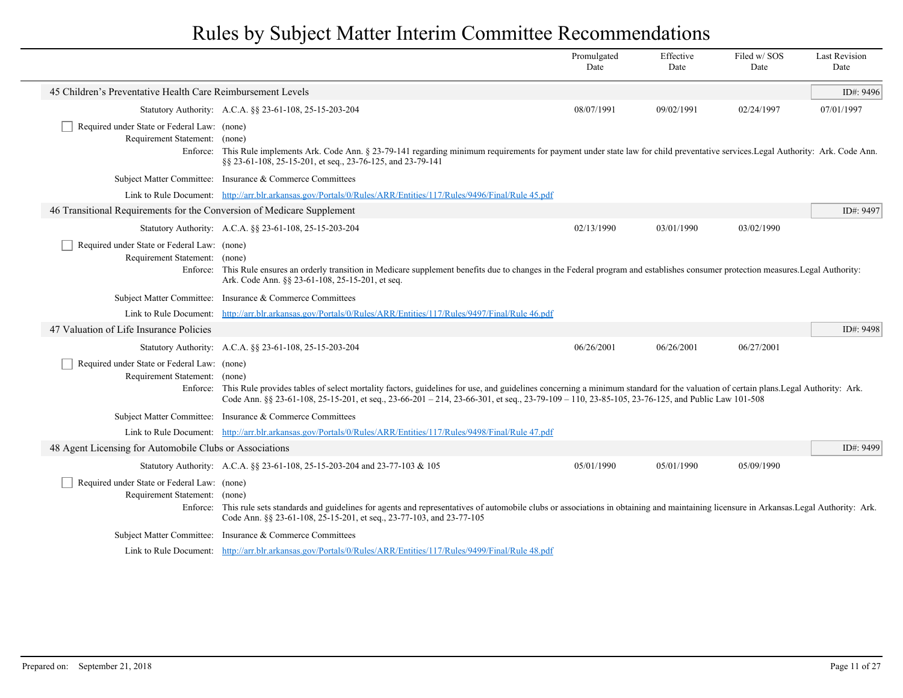|                                                                                          |                                                                                                                                                                                                                                                                                                                                     | Promulgated<br>Date | Effective<br>Date | Filed w/SOS<br>Date | <b>Last Revision</b><br>Date |
|------------------------------------------------------------------------------------------|-------------------------------------------------------------------------------------------------------------------------------------------------------------------------------------------------------------------------------------------------------------------------------------------------------------------------------------|---------------------|-------------------|---------------------|------------------------------|
| 45 Children's Preventative Health Care Reimbursement Levels                              |                                                                                                                                                                                                                                                                                                                                     |                     |                   |                     | ID#: 9496                    |
|                                                                                          | Statutory Authority: A.C.A. §§ 23-61-108, 25-15-203-204                                                                                                                                                                                                                                                                             | 08/07/1991          | 09/02/1991        | 02/24/1997          | 07/01/1997                   |
| Required under State or Federal Law: (none)<br>Requirement Statement: (none)<br>Enforce: | This Rule implements Ark. Code Ann. § 23-79-141 regarding minimum requirements for payment under state law for child preventative services. Legal Authority: Ark. Code Ann.<br>§§ 23-61-108, 25-15-201, et seq., 23-76-125, and 23-79-141                                                                                           |                     |                   |                     |                              |
|                                                                                          | Subject Matter Committee: Insurance & Commerce Committees                                                                                                                                                                                                                                                                           |                     |                   |                     |                              |
|                                                                                          | Link to Rule Document: http://arr.blr.arkansas.gov/Portals/0/Rules/ARR/Entities/117/Rules/9496/Final/Rule 45.pdf                                                                                                                                                                                                                    |                     |                   |                     |                              |
| 46 Transitional Requirements for the Conversion of Medicare Supplement                   |                                                                                                                                                                                                                                                                                                                                     |                     |                   |                     | ID#: 9497                    |
|                                                                                          | Statutory Authority: A.C.A. §§ 23-61-108, 25-15-203-204                                                                                                                                                                                                                                                                             | 02/13/1990          | 03/01/1990        | 03/02/1990          |                              |
| Required under State or Federal Law: (none)<br>Requirement Statement: (none)             | Enforce: This Rule ensures an orderly transition in Medicare supplement benefits due to changes in the Federal program and establishes consumer protection measures. Legal Authority:<br>Ark. Code Ann. §§ 23-61-108, 25-15-201, et seq.                                                                                            |                     |                   |                     |                              |
|                                                                                          | Subject Matter Committee: Insurance & Commerce Committees                                                                                                                                                                                                                                                                           |                     |                   |                     |                              |
|                                                                                          | Link to Rule Document: http://arr.blr.arkansas.gov/Portals/0/Rules/ARR/Entities/117/Rules/9497/Final/Rule 46.pdf                                                                                                                                                                                                                    |                     |                   |                     |                              |
| 47 Valuation of Life Insurance Policies                                                  |                                                                                                                                                                                                                                                                                                                                     |                     |                   |                     | ID#: 9498                    |
|                                                                                          | Statutory Authority: A.C.A. §§ 23-61-108, 25-15-203-204                                                                                                                                                                                                                                                                             | 06/26/2001          | 06/26/2001        | 06/27/2001          |                              |
| Required under State or Federal Law: (none)<br>Requirement Statement: (none)<br>Enforce: | This Rule provides tables of select mortality factors, guidelines for use, and guidelines concerning a minimum standard for the valuation of certain plans. Legal Authority: Ark.<br>Code Ann. §§ 23-61-108, 25-15-201, et seq., 23-66-201 - 214, 23-66-301, et seq., 23-79-109 - 110, 23-85-105, 23-76-125, and Public Law 101-508 |                     |                   |                     |                              |
|                                                                                          | Subject Matter Committee: Insurance & Commerce Committees                                                                                                                                                                                                                                                                           |                     |                   |                     |                              |
|                                                                                          | Link to Rule Document: http://arr.blr.arkansas.gov/Portals/0/Rules/ARR/Entities/117/Rules/9498/Final/Rule 47.pdf                                                                                                                                                                                                                    |                     |                   |                     |                              |
| 48 Agent Licensing for Automobile Clubs or Associations                                  |                                                                                                                                                                                                                                                                                                                                     |                     |                   |                     | ID#: 9499                    |
|                                                                                          | Statutory Authority: A.C.A. §§ 23-61-108, 25-15-203-204 and 23-77-103 & 105                                                                                                                                                                                                                                                         | 05/01/1990          | 05/01/1990        | 05/09/1990          |                              |
| Required under State or Federal Law: (none)<br>Requirement Statement: (none)             | Enforce: This rule sets standards and guidelines for agents and representatives of automobile clubs or associations in obtaining and maintaining licensure in Arkansas.Legal Authority: Ark.<br>Code Ann. §§ 23-61-108, 25-15-201, et seq., 23-77-103, and 23-77-105                                                                |                     |                   |                     |                              |
|                                                                                          | Subject Matter Committee: Insurance & Commerce Committees                                                                                                                                                                                                                                                                           |                     |                   |                     |                              |
|                                                                                          | Link to Rule Document: http://arr.blr.arkansas.gov/Portals/0/Rules/ARR/Entities/117/Rules/9499/Final/Rule 48.pdf                                                                                                                                                                                                                    |                     |                   |                     |                              |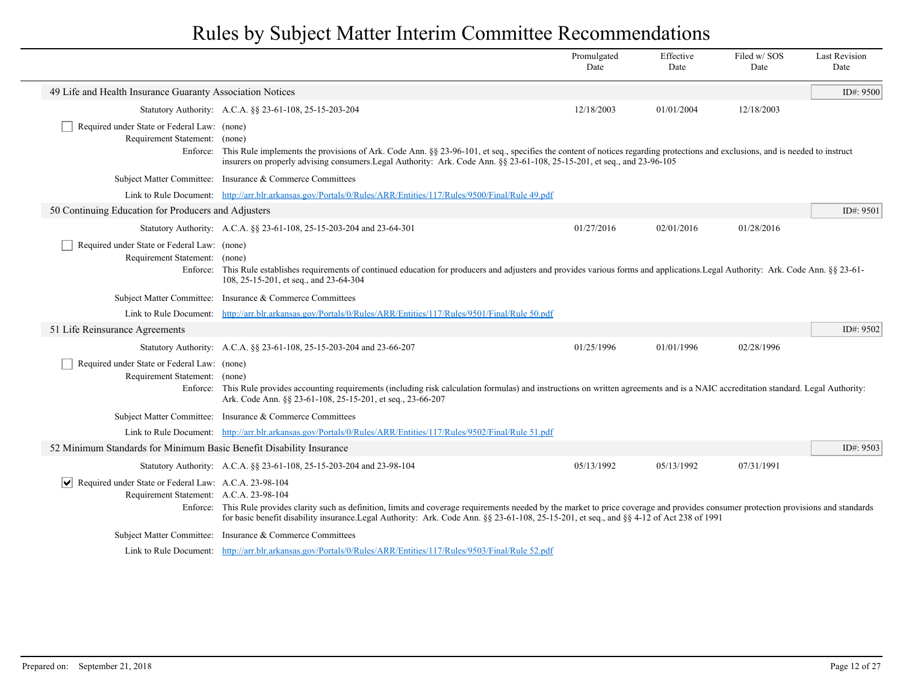|                                                                                                                         |                                                                                                                                                                                                                                                                                                                                      | Promulgated<br>Date | Effective<br>Date | Filed w/SOS<br>Date | <b>Last Revision</b><br>Date |
|-------------------------------------------------------------------------------------------------------------------------|--------------------------------------------------------------------------------------------------------------------------------------------------------------------------------------------------------------------------------------------------------------------------------------------------------------------------------------|---------------------|-------------------|---------------------|------------------------------|
| 49 Life and Health Insurance Guaranty Association Notices                                                               |                                                                                                                                                                                                                                                                                                                                      |                     |                   |                     | ID#: 9500                    |
|                                                                                                                         | Statutory Authority: A.C.A. §§ 23-61-108, 25-15-203-204                                                                                                                                                                                                                                                                              | 12/18/2003          | 01/01/2004        | 12/18/2003          |                              |
| Required under State or Federal Law: (none)<br>Requirement Statement: (none)                                            | Enforce: This Rule implements the provisions of Ark. Code Ann. §§ 23-96-101, et seq., specifies the content of notices regarding protections and exclusions, and is needed to instruct<br>insurers on properly advising consumers. Legal Authority: Ark. Code Ann. §§ 23-61-108, 25-15-201, et seq., and 23-96-105                   |                     |                   |                     |                              |
|                                                                                                                         | Subject Matter Committee: Insurance & Commerce Committees                                                                                                                                                                                                                                                                            |                     |                   |                     |                              |
|                                                                                                                         | Link to Rule Document: http://arr.blr.arkansas.gov/Portals/0/Rules/ARR/Entities/117/Rules/9500/Final/Rule 49.pdf                                                                                                                                                                                                                     |                     |                   |                     |                              |
| 50 Continuing Education for Producers and Adjusters                                                                     |                                                                                                                                                                                                                                                                                                                                      |                     |                   |                     | ID#: $9501$                  |
|                                                                                                                         | Statutory Authority: A.C.A. §§ 23-61-108, 25-15-203-204 and 23-64-301                                                                                                                                                                                                                                                                | 01/27/2016          | 02/01/2016        | 01/28/2016          |                              |
| Required under State or Federal Law: (none)<br>Requirement Statement: (none)                                            | Enforce: This Rule establishes requirements of continued education for producers and adjusters and provides various forms and applications. Legal Authority: Ark. Code Ann. §§ 23-61-<br>108, 25-15-201, et seq., and 23-64-304                                                                                                      |                     |                   |                     |                              |
|                                                                                                                         | Subject Matter Committee: Insurance & Commerce Committees                                                                                                                                                                                                                                                                            |                     |                   |                     |                              |
|                                                                                                                         | Link to Rule Document: http://arr.blr.arkansas.gov/Portals/0/Rules/ARR/Entities/117/Rules/9501/Final/Rule 50.pdf                                                                                                                                                                                                                     |                     |                   |                     |                              |
| 51 Life Reinsurance Agreements                                                                                          |                                                                                                                                                                                                                                                                                                                                      |                     |                   |                     | ID#: 9502                    |
|                                                                                                                         | Statutory Authority: A.C.A. §§ 23-61-108, 25-15-203-204 and 23-66-207                                                                                                                                                                                                                                                                | 01/25/1996          | 01/01/1996        | 02/28/1996          |                              |
| Required under State or Federal Law: (none)<br>Requirement Statement: (none)                                            | Enforce: This Rule provides accounting requirements (including risk calculation formulas) and instructions on written agreements and is a NAIC accreditation standard. Legal Authority:<br>Ark. Code Ann. §§ 23-61-108, 25-15-201, et seq., 23-66-207                                                                                |                     |                   |                     |                              |
|                                                                                                                         | Subject Matter Committee: Insurance & Commerce Committees                                                                                                                                                                                                                                                                            |                     |                   |                     |                              |
|                                                                                                                         | Link to Rule Document: http://arr.blr.arkansas.gov/Portals/0/Rules/ARR/Entities/117/Rules/9502/Final/Rule 51.pdf                                                                                                                                                                                                                     |                     |                   |                     |                              |
| 52 Minimum Standards for Minimum Basic Benefit Disability Insurance                                                     |                                                                                                                                                                                                                                                                                                                                      |                     |                   |                     | ID#: 9503                    |
|                                                                                                                         | Statutory Authority: A.C.A. §§ 23-61-108, 25-15-203-204 and 23-98-104                                                                                                                                                                                                                                                                | 05/13/1992          | 05/13/1992        | 07/31/1991          |                              |
| Required under State or Federal Law: A.C.A. 23-98-104<br>$ \bm{\mathsf{v}} $<br>Requirement Statement: A.C.A. 23-98-104 | Enforce: This Rule provides clarity such as definition, limits and coverage requirements needed by the market to price coverage and provides consumer protection provisions and standards<br>for basic benefit disability insurance.Legal Authority: Ark. Code Ann. §§ 23-61-108, 25-15-201, et seq., and §§ 4-12 of Act 238 of 1991 |                     |                   |                     |                              |
|                                                                                                                         | Subject Matter Committee: Insurance & Commerce Committees                                                                                                                                                                                                                                                                            |                     |                   |                     |                              |
|                                                                                                                         | Link to Rule Document: http://arr.blr.arkansas.gov/Portals/0/Rules/ARR/Entities/117/Rules/9503/Final/Rule 52.pdf                                                                                                                                                                                                                     |                     |                   |                     |                              |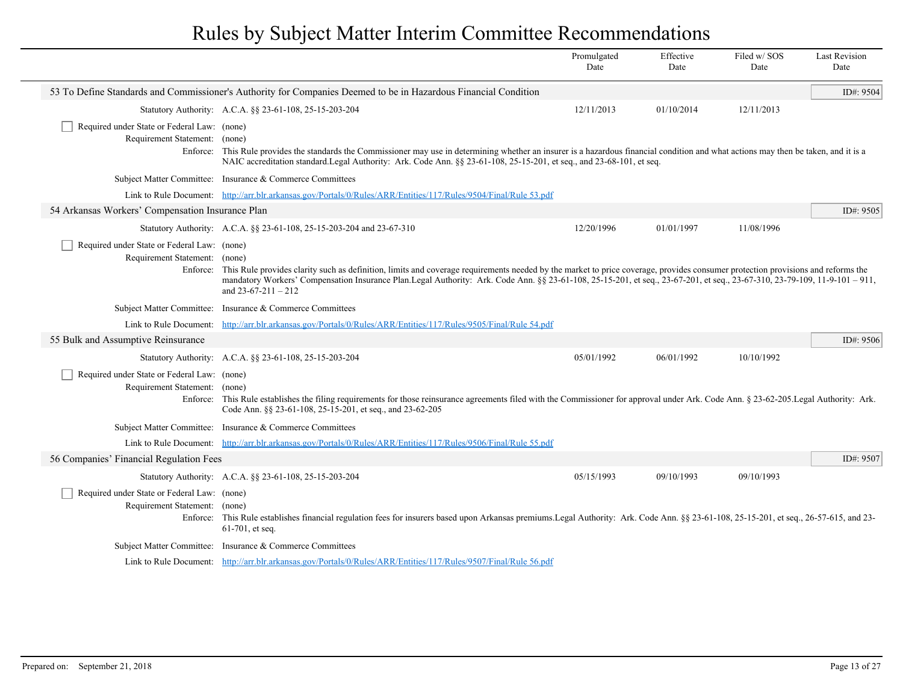|                                                                                          |                                                                                                                                                                                                                                                                                                                                                                                      | Promulgated<br>Date | Effective<br>Date | Filed w/SOS<br>Date | <b>Last Revision</b><br>Date |
|------------------------------------------------------------------------------------------|--------------------------------------------------------------------------------------------------------------------------------------------------------------------------------------------------------------------------------------------------------------------------------------------------------------------------------------------------------------------------------------|---------------------|-------------------|---------------------|------------------------------|
|                                                                                          | 53 To Define Standards and Commissioner's Authority for Companies Deemed to be in Hazardous Financial Condition                                                                                                                                                                                                                                                                      |                     |                   |                     | ID#: 9504                    |
|                                                                                          | Statutory Authority: A.C.A. §§ 23-61-108, 25-15-203-204                                                                                                                                                                                                                                                                                                                              | 12/11/2013          | 01/10/2014        | 12/11/2013          |                              |
| Required under State or Federal Law: (none)                                              |                                                                                                                                                                                                                                                                                                                                                                                      |                     |                   |                     |                              |
| Requirement Statement:                                                                   | (none)<br>Enforce: This Rule provides the standards the Commissioner may use in determining whether an insurer is a hazardous financial condition and what actions may then be taken, and it is a<br>NAIC accreditation standard.Legal Authority: Ark. Code Ann. §§ 23-61-108, 25-15-201, et seq., and 23-68-101, et seq.                                                            |                     |                   |                     |                              |
|                                                                                          | Subject Matter Committee: Insurance & Commerce Committees                                                                                                                                                                                                                                                                                                                            |                     |                   |                     |                              |
|                                                                                          | Link to Rule Document: http://arr.blr.arkansas.gov/Portals/0/Rules/ARR/Entities/117/Rules/9504/Final/Rule 53.pdf                                                                                                                                                                                                                                                                     |                     |                   |                     |                              |
| 54 Arkansas Workers' Compensation Insurance Plan                                         |                                                                                                                                                                                                                                                                                                                                                                                      |                     |                   |                     | ID#: 9505                    |
|                                                                                          | Statutory Authority: A.C.A. §§ 23-61-108, 25-15-203-204 and 23-67-310                                                                                                                                                                                                                                                                                                                | 12/20/1996          | 01/01/1997        | 11/08/1996          |                              |
| Required under State or Federal Law: (none)<br>Requirement Statement: (none)<br>Enforce: | This Rule provides clarity such as definition, limits and coverage requirements needed by the market to price coverage, provides consumer protection provisions and reforms the<br>mandatory Workers' Compensation Insurance Plan.Legal Authority: Ark. Code Ann. §§ 23-61-108, 25-15-201, et seq., 23-67-201, et seq., 23-67-310, 23-79-109, 11-9-101 - 911,<br>and $23-67-211-212$ |                     |                   |                     |                              |
|                                                                                          | Subject Matter Committee: Insurance & Commerce Committees                                                                                                                                                                                                                                                                                                                            |                     |                   |                     |                              |
|                                                                                          | Link to Rule Document: http://arr.blr.arkansas.gov/Portals/0/Rules/ARR/Entities/117/Rules/9505/Final/Rule 54.pdf                                                                                                                                                                                                                                                                     |                     |                   |                     |                              |
| 55 Bulk and Assumptive Reinsurance                                                       |                                                                                                                                                                                                                                                                                                                                                                                      |                     |                   |                     | ID#: 9506                    |
|                                                                                          | Statutory Authority: A.C.A. §§ 23-61-108, 25-15-203-204                                                                                                                                                                                                                                                                                                                              | 05/01/1992          | 06/01/1992        | 10/10/1992          |                              |
| Required under State or Federal Law: (none)<br>Requirement Statement: (none)             | Enforce: This Rule establishes the filing requirements for those reinsurance agreements filed with the Commissioner for approval under Ark. Code Ann. § 23-62-205. Legal Authority: Ark.<br>Code Ann. §§ 23-61-108, 25-15-201, et seq., and 23-62-205                                                                                                                                |                     |                   |                     |                              |
|                                                                                          | Subject Matter Committee: Insurance & Commerce Committees                                                                                                                                                                                                                                                                                                                            |                     |                   |                     |                              |
|                                                                                          | Link to Rule Document: http://arr.blr.arkansas.gov/Portals/0/Rules/ARR/Entities/117/Rules/9506/Final/Rule 55.pdf                                                                                                                                                                                                                                                                     |                     |                   |                     |                              |
| 56 Companies' Financial Regulation Fees                                                  |                                                                                                                                                                                                                                                                                                                                                                                      |                     |                   |                     | ID#: 9507                    |
|                                                                                          | Statutory Authority: A.C.A. §§ 23-61-108, 25-15-203-204                                                                                                                                                                                                                                                                                                                              | 05/15/1993          | 09/10/1993        | 09/10/1993          |                              |
| Required under State or Federal Law: (none)<br>Requirement Statement: (none)             | Enforce: This Rule establishes financial regulation fees for insurers based upon Arkansas premiums. Legal Authority: Ark. Code Ann. §§ 23-61-108, 25-15-201, et seq., 26-57-615, and 23-<br>$61-701$ , et seq.                                                                                                                                                                       |                     |                   |                     |                              |
|                                                                                          | Subject Matter Committee: Insurance & Commerce Committees                                                                                                                                                                                                                                                                                                                            |                     |                   |                     |                              |
|                                                                                          | Link to Rule Document: http://arr.blr.arkansas.gov/Portals/0/Rules/ARR/Entities/117/Rules/9507/Final/Rule 56.pdf                                                                                                                                                                                                                                                                     |                     |                   |                     |                              |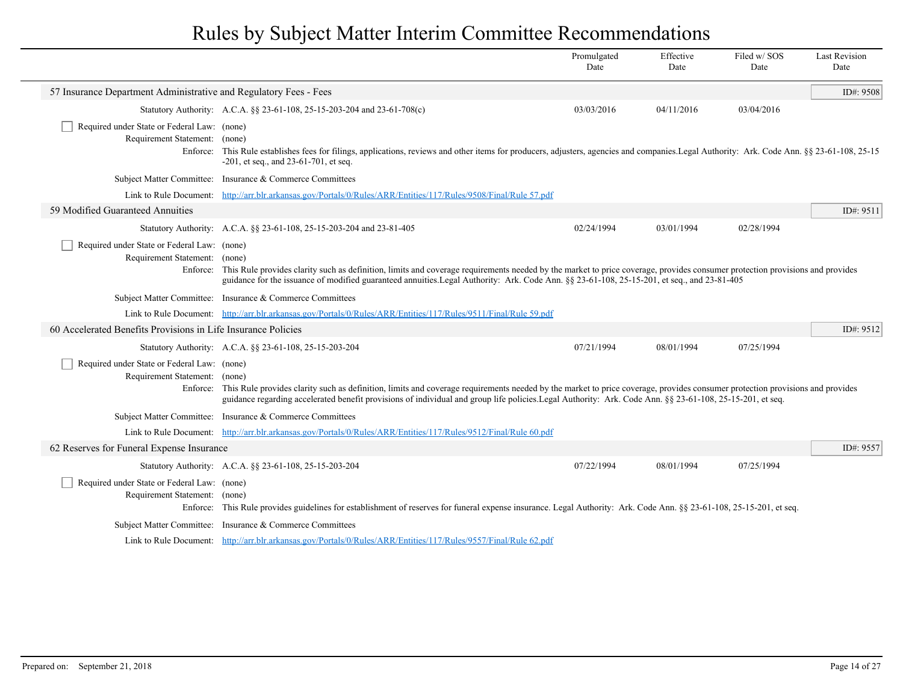|                                                                                          |                                                                                                                                                                                                                                                                                                                                                              | Promulgated<br>Date | Effective<br>Date | Filed w/SOS<br>Date | <b>Last Revision</b><br>Date |
|------------------------------------------------------------------------------------------|--------------------------------------------------------------------------------------------------------------------------------------------------------------------------------------------------------------------------------------------------------------------------------------------------------------------------------------------------------------|---------------------|-------------------|---------------------|------------------------------|
| 57 Insurance Department Administrative and Regulatory Fees - Fees                        |                                                                                                                                                                                                                                                                                                                                                              |                     |                   |                     | ID#: 9508                    |
|                                                                                          | Statutory Authority: A.C.A. §§ 23-61-108, 25-15-203-204 and 23-61-708(c)                                                                                                                                                                                                                                                                                     | 03/03/2016          | 04/11/2016        | 03/04/2016          |                              |
| Required under State or Federal Law: (none)<br>Requirement Statement: (none)<br>Enforce: | This Rule establishes fees for filings, applications, reviews and other items for producers, adjusters, agencies and companies. Legal Authority: Ark. Code Ann. §§ 23-61-108, 25-15<br>$-201$ , et seq., and 23-61-701, et seq.                                                                                                                              |                     |                   |                     |                              |
| <b>Subject Matter Committee:</b>                                                         | Insurance & Commerce Committees                                                                                                                                                                                                                                                                                                                              |                     |                   |                     |                              |
| Link to Rule Document:                                                                   | http://arr.blr.arkansas.gov/Portals/0/Rules/ARR/Entities/117/Rules/9508/Final/Rule 57.pdf                                                                                                                                                                                                                                                                    |                     |                   |                     |                              |
| 59 Modified Guaranteed Annuities                                                         |                                                                                                                                                                                                                                                                                                                                                              |                     |                   |                     | ID#: 9511                    |
|                                                                                          | Statutory Authority: A.C.A. §§ 23-61-108, 25-15-203-204 and 23-81-405                                                                                                                                                                                                                                                                                        | 02/24/1994          | 03/01/1994        | 02/28/1994          |                              |
| Required under State or Federal Law: (none)<br>Requirement Statement: (none)             | Enforce: This Rule provides clarity such as definition, limits and coverage requirements needed by the market to price coverage, provides consumer protection provisions and provides<br>guidance for the issuance of modified guaranteed annuities. Legal Authority: Ark. Code Ann. §§ 23-61-108, 25-15-201, et seq., and 23-81-405                         |                     |                   |                     |                              |
| <b>Subject Matter Committee:</b>                                                         | Insurance & Commerce Committees                                                                                                                                                                                                                                                                                                                              |                     |                   |                     |                              |
|                                                                                          | Link to Rule Document: http://arr.blr.arkansas.gov/Portals/0/Rules/ARR/Entities/117/Rules/9511/Final/Rule 59.pdf                                                                                                                                                                                                                                             |                     |                   |                     |                              |
| 60 Accelerated Benefits Provisions in Life Insurance Policies                            |                                                                                                                                                                                                                                                                                                                                                              |                     |                   |                     | ID#: 9512                    |
|                                                                                          | Statutory Authority: A.C.A. §§ 23-61-108, 25-15-203-204                                                                                                                                                                                                                                                                                                      | 07/21/1994          | 08/01/1994        | 07/25/1994          |                              |
| Required under State or Federal Law: (none)<br>Requirement Statement:                    | (none)<br>Enforce: This Rule provides clarity such as definition, limits and coverage requirements needed by the market to price coverage, provides consumer protection provisions and provides<br>guidance regarding accelerated benefit provisions of individual and group life policies. Legal Authority: Ark. Code Ann. §§ 23-61-108, 25-15-201, et seq. |                     |                   |                     |                              |
| <b>Subject Matter Committee:</b>                                                         | Insurance & Commerce Committees                                                                                                                                                                                                                                                                                                                              |                     |                   |                     |                              |
|                                                                                          | Link to Rule Document: http://arr.blr.arkansas.gov/Portals/0/Rules/ARR/Entities/117/Rules/9512/Final/Rule 60.pdf                                                                                                                                                                                                                                             |                     |                   |                     |                              |
| 62 Reserves for Funeral Expense Insurance                                                |                                                                                                                                                                                                                                                                                                                                                              |                     |                   |                     | ID#: 9557                    |
|                                                                                          | Statutory Authority: A.C.A. §§ 23-61-108, 25-15-203-204                                                                                                                                                                                                                                                                                                      | 07/22/1994          | 08/01/1994        | 07/25/1994          |                              |
| Required under State or Federal Law: (none)<br>Requirement Statement: (none)<br>Enforce: | This Rule provides guidelines for establishment of reserves for funeral expense insurance. Legal Authority: Ark. Code Ann. §§ 23-61-108, 25-15-201, et seq.                                                                                                                                                                                                  |                     |                   |                     |                              |
| <b>Subject Matter Committee:</b>                                                         | Insurance & Commerce Committees                                                                                                                                                                                                                                                                                                                              |                     |                   |                     |                              |
|                                                                                          | Link to Rule Document: http://arr.blr.arkansas.gov/Portals/0/Rules/ARR/Entities/117/Rules/9557/Final/Rule 62.pdf                                                                                                                                                                                                                                             |                     |                   |                     |                              |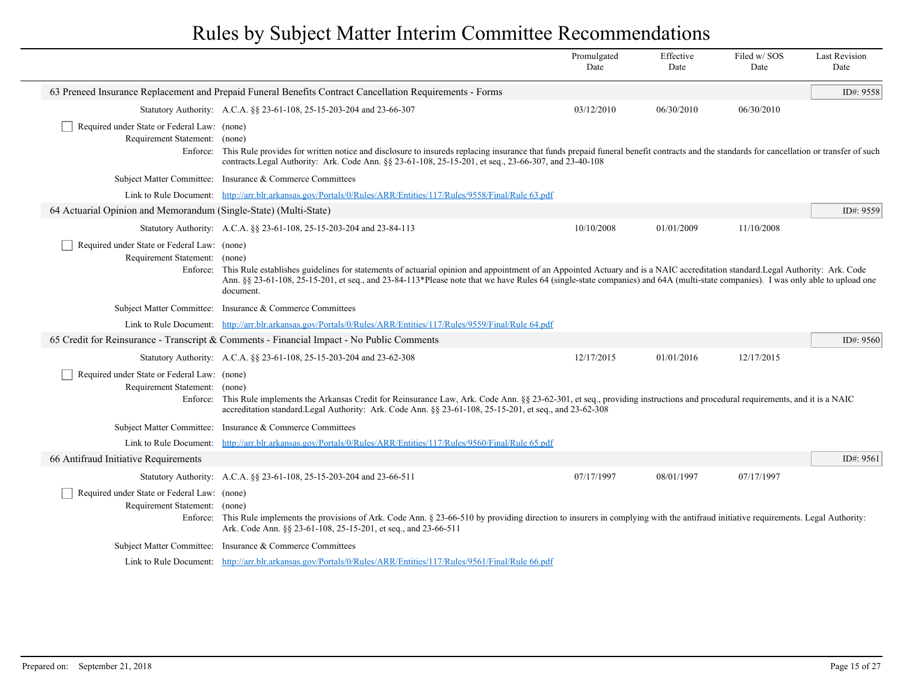|                                                                  |                                                                                                                                                                                                                                                                                                                                                                              | Promulgated<br>Date | Effective<br>Date | Filed w/SOS<br>Date | Last Revision<br>Date |
|------------------------------------------------------------------|------------------------------------------------------------------------------------------------------------------------------------------------------------------------------------------------------------------------------------------------------------------------------------------------------------------------------------------------------------------------------|---------------------|-------------------|---------------------|-----------------------|
|                                                                  | 63 Preneed Insurance Replacement and Prepaid Funeral Benefits Contract Cancellation Requirements - Forms                                                                                                                                                                                                                                                                     |                     |                   |                     | ID#: 9558             |
|                                                                  | Statutory Authority: A.C.A. §§ 23-61-108, 25-15-203-204 and 23-66-307                                                                                                                                                                                                                                                                                                        | 03/12/2010          | 06/30/2010        | 06/30/2010          |                       |
| Required under State or Federal Law: (none)                      |                                                                                                                                                                                                                                                                                                                                                                              |                     |                   |                     |                       |
| Requirement Statement:                                           | (none)                                                                                                                                                                                                                                                                                                                                                                       |                     |                   |                     |                       |
|                                                                  | Enforce: This Rule provides for written notice and disclosure to insureds replacing insurance that funds prepaid funeral benefit contracts and the standards for cancellation or transfer of such<br>contracts. Legal Authority: Ark. Code Ann. §§ 23-61-108, 25-15-201, et seq., 23-66-307, and 23-40-108                                                                   |                     |                   |                     |                       |
|                                                                  | Subject Matter Committee: Insurance & Commerce Committees                                                                                                                                                                                                                                                                                                                    |                     |                   |                     |                       |
| Link to Rule Document:                                           | http://arr.blr.arkansas.gov/Portals/0/Rules/ARR/Entities/117/Rules/9558/Final/Rule 63.pdf                                                                                                                                                                                                                                                                                    |                     |                   |                     |                       |
| 64 Actuarial Opinion and Memorandum (Single-State) (Multi-State) |                                                                                                                                                                                                                                                                                                                                                                              |                     |                   |                     | ID#: 9559             |
|                                                                  | Statutory Authority: A.C.A. §§ 23-61-108, 25-15-203-204 and 23-84-113                                                                                                                                                                                                                                                                                                        | 10/10/2008          | 01/01/2009        | 11/10/2008          |                       |
| Required under State or Federal Law: (none)                      |                                                                                                                                                                                                                                                                                                                                                                              |                     |                   |                     |                       |
| Requirement Statement: (none)                                    |                                                                                                                                                                                                                                                                                                                                                                              |                     |                   |                     |                       |
| Enforce:                                                         | This Rule establishes guidelines for statements of actuarial opinion and appointment of an Appointed Actuary and is a NAIC accreditation standard. Legal Authority: Ark. Code<br>Ann. §§ 23-61-108, 25-15-201, et seq., and 23-84-113*Please note that we have Rules 64 (single-state companies) and 64A (multi-state companies). I was only able to upload one<br>document. |                     |                   |                     |                       |
|                                                                  | Subject Matter Committee: Insurance & Commerce Committees                                                                                                                                                                                                                                                                                                                    |                     |                   |                     |                       |
|                                                                  | Link to Rule Document: http://arr.blr.arkansas.gov/Portals/0/Rules/ARR/Entities/117/Rules/9559/Final/Rule 64.pdf                                                                                                                                                                                                                                                             |                     |                   |                     |                       |
|                                                                  | 65 Credit for Reinsurance - Transcript & Comments - Financial Impact - No Public Comments                                                                                                                                                                                                                                                                                    |                     |                   |                     | ID#: 9560             |
|                                                                  | Statutory Authority: A.C.A. §§ 23-61-108, 25-15-203-204 and 23-62-308                                                                                                                                                                                                                                                                                                        | 12/17/2015          | 01/01/2016        | 12/17/2015          |                       |
| Required under State or Federal Law: (none)                      |                                                                                                                                                                                                                                                                                                                                                                              |                     |                   |                     |                       |
| Requirement Statement:                                           | (none)                                                                                                                                                                                                                                                                                                                                                                       |                     |                   |                     |                       |
| Enforce:                                                         | This Rule implements the Arkansas Credit for Reinsurance Law, Ark. Code Ann. §§ 23-62-301, et seq., providing instructions and procedural requirements, and it is a NAIC<br>accreditation standard. Legal Authority: Ark. Code Ann. §§ 23-61-108, 25-15-201, et seq., and 23-62-308                                                                                          |                     |                   |                     |                       |
|                                                                  | Subject Matter Committee: Insurance & Commerce Committees                                                                                                                                                                                                                                                                                                                    |                     |                   |                     |                       |
| Link to Rule Document:                                           | http://arr.blr.arkansas.gov/Portals/0/Rules/ARR/Entities/117/Rules/9560/Final/Rule 65.pdf                                                                                                                                                                                                                                                                                    |                     |                   |                     |                       |
| 66 Antifraud Initiative Requirements                             |                                                                                                                                                                                                                                                                                                                                                                              |                     |                   |                     | ID#: 9561             |
|                                                                  | Statutory Authority: A.C.A. §§ 23-61-108, 25-15-203-204 and 23-66-511                                                                                                                                                                                                                                                                                                        | 07/17/1997          | 08/01/1997        | 07/17/1997          |                       |
| Required under State or Federal Law: (none)                      |                                                                                                                                                                                                                                                                                                                                                                              |                     |                   |                     |                       |
| Requirement Statement:                                           | (none)                                                                                                                                                                                                                                                                                                                                                                       |                     |                   |                     |                       |
|                                                                  | Enforce: This Rule implements the provisions of Ark. Code Ann. § 23-66-510 by providing direction to insurers in complying with the antifraud initiative requirements. Legal Authority:<br>Ark. Code Ann. §§ 23-61-108, 25-15-201, et seq., and 23-66-511                                                                                                                    |                     |                   |                     |                       |
|                                                                  | Subject Matter Committee: Insurance & Commerce Committees                                                                                                                                                                                                                                                                                                                    |                     |                   |                     |                       |
|                                                                  | Link to Rule Document: http://arr.blr.arkansas.gov/Portals/0/Rules/ARR/Entities/117/Rules/9561/Final/Rule 66.pdf                                                                                                                                                                                                                                                             |                     |                   |                     |                       |
|                                                                  |                                                                                                                                                                                                                                                                                                                                                                              |                     |                   |                     |                       |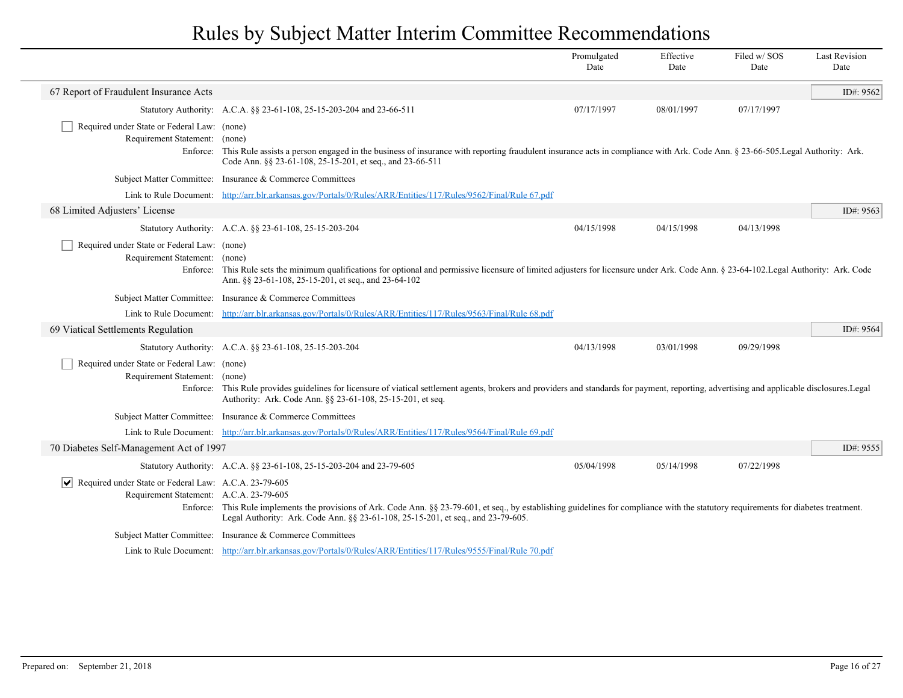|                                                                                                                              |                                                                                                                                                                                                                                                                             | Promulgated<br>Date | Effective<br>Date | Filed w/SOS<br>Date | <b>Last Revision</b><br>Date |
|------------------------------------------------------------------------------------------------------------------------------|-----------------------------------------------------------------------------------------------------------------------------------------------------------------------------------------------------------------------------------------------------------------------------|---------------------|-------------------|---------------------|------------------------------|
| 67 Report of Fraudulent Insurance Acts                                                                                       |                                                                                                                                                                                                                                                                             |                     |                   |                     | ID#: 9562                    |
|                                                                                                                              | Statutory Authority: A.C.A. §§ 23-61-108, 25-15-203-204 and 23-66-511                                                                                                                                                                                                       | 07/17/1997          | 08/01/1997        | 07/17/1997          |                              |
| Required under State or Federal Law: (none)<br>Requirement Statement:                                                        | (none)<br>Enforce: This Rule assists a person engaged in the business of insurance with reporting fraudulent insurance acts in compliance with Ark. Code Ann. § 23-66-505. Legal Authority: Ark.<br>Code Ann. §§ 23-61-108, 25-15-201, et seq., and 23-66-511               |                     |                   |                     |                              |
|                                                                                                                              | Subject Matter Committee: Insurance & Commerce Committees                                                                                                                                                                                                                   |                     |                   |                     |                              |
|                                                                                                                              | Link to Rule Document: http://arr.blr.arkansas.gov/Portals/0/Rules/ARR/Entities/117/Rules/9562/Final/Rule 67.pdf                                                                                                                                                            |                     |                   |                     |                              |
| 68 Limited Adjusters' License                                                                                                |                                                                                                                                                                                                                                                                             |                     |                   |                     | ID#: 9563                    |
|                                                                                                                              | Statutory Authority: A.C.A. §§ 23-61-108, 25-15-203-204                                                                                                                                                                                                                     | 04/15/1998          | 04/15/1998        | 04/13/1998          |                              |
| Required under State or Federal Law: (none)<br>Requirement Statement: (none)                                                 | Enforce: This Rule sets the minimum qualifications for optional and permissive licensure of limited adjusters for licensure under Ark. Code Ann. § 23-64-102. Legal Authority: Ark. Code<br>Ann. §§ 23-61-108, 25-15-201, et seq., and 23-64-102                            |                     |                   |                     |                              |
|                                                                                                                              | Subject Matter Committee: Insurance & Commerce Committees                                                                                                                                                                                                                   |                     |                   |                     |                              |
|                                                                                                                              | Link to Rule Document: http://arr.blr.arkansas.gov/Portals/0/Rules/ARR/Entities/117/Rules/9563/Final/Rule 68.pdf                                                                                                                                                            |                     |                   |                     |                              |
| 69 Viatical Settlements Regulation                                                                                           |                                                                                                                                                                                                                                                                             |                     |                   |                     | ID#: 9564                    |
|                                                                                                                              | Statutory Authority: A.C.A. §§ 23-61-108, 25-15-203-204                                                                                                                                                                                                                     | 04/13/1998          | 03/01/1998        | 09/29/1998          |                              |
| Required under State or Federal Law: (none)<br>Requirement Statement: (none)                                                 | Enforce: This Rule provides guidelines for licensure of viatical settlement agents, brokers and providers and standards for payment, reporting, advertising and applicable disclosures. Legal<br>Authority: Ark. Code Ann. §§ 23-61-108, 25-15-201, et seq.                 |                     |                   |                     |                              |
|                                                                                                                              | Subject Matter Committee: Insurance & Commerce Committees                                                                                                                                                                                                                   |                     |                   |                     |                              |
|                                                                                                                              | Link to Rule Document: http://arr.blr.arkansas.gov/Portals/0/Rules/ARR/Entities/117/Rules/9564/Final/Rule 69.pdf                                                                                                                                                            |                     |                   |                     |                              |
| 70 Diabetes Self-Management Act of 1997                                                                                      |                                                                                                                                                                                                                                                                             |                     |                   |                     | ID#: 9555                    |
|                                                                                                                              | Statutory Authority: A.C.A. §§ 23-61-108, 25-15-203-204 and 23-79-605                                                                                                                                                                                                       | 05/04/1998          | 05/14/1998        | 07/22/1998          |                              |
| $\vert \mathbf{v} \vert$<br>Required under State or Federal Law: A.C.A. 23-79-605<br>Requirement Statement: A.C.A. 23-79-605 | Enforce: This Rule implements the provisions of Ark. Code Ann. §§ 23-79-601, et seq., by establishing guidelines for compliance with the statutory requirements for diabetes treatment.<br>Legal Authority: Ark. Code Ann. §§ 23-61-108, 25-15-201, et seq., and 23-79-605. |                     |                   |                     |                              |
|                                                                                                                              | Subject Matter Committee: Insurance & Commerce Committees                                                                                                                                                                                                                   |                     |                   |                     |                              |
|                                                                                                                              | Link to Rule Document: http://arr.blr.arkansas.gov/Portals/0/Rules/ARR/Entities/117/Rules/9555/Final/Rule 70.pdf                                                                                                                                                            |                     |                   |                     |                              |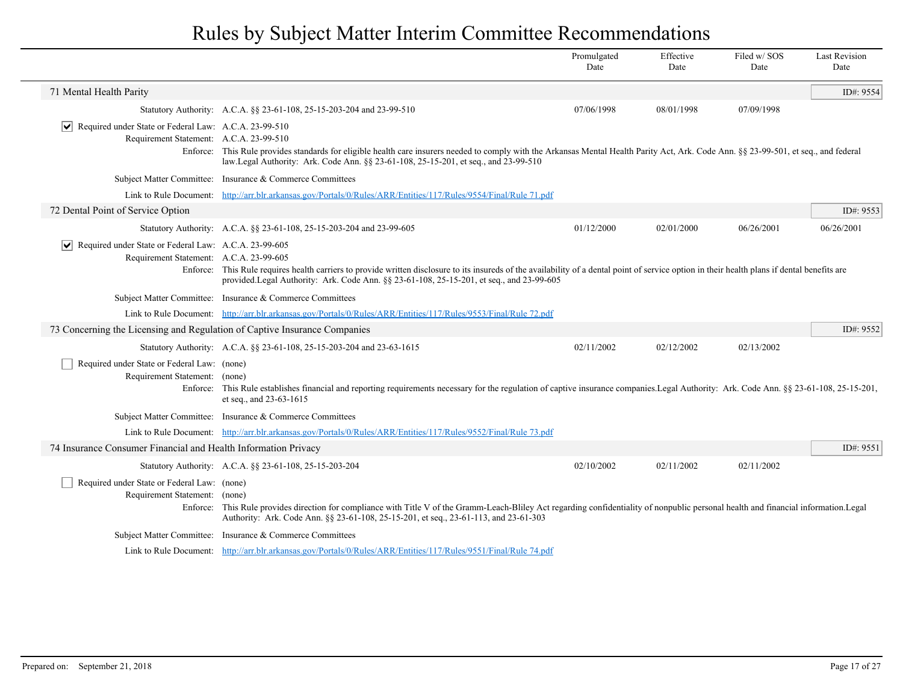|                                                                                                                 |                                                                                                                                                                                                                                                                                            | Promulgated<br>Date | Effective<br>Date | Filed w/SOS<br>Date | <b>Last Revision</b><br>Date |
|-----------------------------------------------------------------------------------------------------------------|--------------------------------------------------------------------------------------------------------------------------------------------------------------------------------------------------------------------------------------------------------------------------------------------|---------------------|-------------------|---------------------|------------------------------|
| 71 Mental Health Parity                                                                                         |                                                                                                                                                                                                                                                                                            |                     |                   |                     | ID#: 9554                    |
|                                                                                                                 | Statutory Authority: A.C.A. §§ 23-61-108, 25-15-203-204 and 23-99-510                                                                                                                                                                                                                      | 07/06/1998          | 08/01/1998        | 07/09/1998          |                              |
| $ \mathbf{v} $ Required under State or Federal Law: A.C.A. 23-99-510<br>Requirement Statement: A.C.A. 23-99-510 | Enforce: This Rule provides standards for eligible health care insurers needed to comply with the Arkansas Mental Health Parity Act, Ark. Code Ann. § \$ 23-99-501, et seq., and federal<br>law.Legal Authority: Ark. Code Ann. §§ 23-61-108, 25-15-201, et seq., and 23-99-510            |                     |                   |                     |                              |
|                                                                                                                 | Subject Matter Committee: Insurance & Commerce Committees                                                                                                                                                                                                                                  |                     |                   |                     |                              |
|                                                                                                                 | Link to Rule Document: http://arr.blr.arkansas.gov/Portals/0/Rules/ARR/Entities/117/Rules/9554/Final/Rule 71.pdf                                                                                                                                                                           |                     |                   |                     |                              |
| 72 Dental Point of Service Option                                                                               |                                                                                                                                                                                                                                                                                            |                     |                   |                     | ID#: 9553                    |
|                                                                                                                 | Statutory Authority: A.C.A. §§ 23-61-108, 25-15-203-204 and 23-99-605                                                                                                                                                                                                                      | 01/12/2000          | 02/01/2000        | 06/26/2001          | 06/26/2001                   |
| Required under State or Federal Law: A.C.A. 23-99-605<br>Requirement Statement: A.C.A. 23-99-605                | Enforce: This Rule requires health carriers to provide written disclosure to its insureds of the availability of a dental point of service option in their health plans if dental benefits are<br>provided.Legal Authority: Ark. Code Ann. §§ 23-61-108, 25-15-201, et seq., and 23-99-605 |                     |                   |                     |                              |
|                                                                                                                 | Subject Matter Committee: Insurance & Commerce Committees                                                                                                                                                                                                                                  |                     |                   |                     |                              |
|                                                                                                                 | Link to Rule Document: http://arr.blr.arkansas.gov/Portals/0/Rules/ARR/Entities/117/Rules/9553/Final/Rule 72.pdf                                                                                                                                                                           |                     |                   |                     |                              |
| 73 Concerning the Licensing and Regulation of Captive Insurance Companies                                       |                                                                                                                                                                                                                                                                                            |                     |                   |                     | ID#: $9552$                  |
|                                                                                                                 | Statutory Authority: A.C.A. §§ 23-61-108, 25-15-203-204 and 23-63-1615                                                                                                                                                                                                                     | 02/11/2002          | 02/12/2002        | 02/13/2002          |                              |
| Required under State or Federal Law: (none)<br>Requirement Statement: (none)                                    | Enforce: This Rule establishes financial and reporting requirements necessary for the regulation of captive insurance companies. Legal Authority: Ark. Code Ann. §§ 23-61-108, 25-15-201,<br>et seq., and 23-63-1615                                                                       |                     |                   |                     |                              |
|                                                                                                                 | Subject Matter Committee: Insurance & Commerce Committees                                                                                                                                                                                                                                  |                     |                   |                     |                              |
|                                                                                                                 | Link to Rule Document: http://arr.blr.arkansas.gov/Portals/0/Rules/ARR/Entities/117/Rules/9552/Final/Rule 73.pdf                                                                                                                                                                           |                     |                   |                     |                              |
| 74 Insurance Consumer Financial and Health Information Privacy                                                  |                                                                                                                                                                                                                                                                                            |                     |                   |                     | ID#: $9551$                  |
|                                                                                                                 | Statutory Authority: A.C.A. §§ 23-61-108, 25-15-203-204                                                                                                                                                                                                                                    | 02/10/2002          | 02/11/2002        | 02/11/2002          |                              |
| Required under State or Federal Law: (none)<br>Requirement Statement: (none)                                    | Enforce: This Rule provides direction for compliance with Title V of the Gramm-Leach-Bliley Act regarding confidentiality of nonpublic personal health and financial information. Legal<br>Authority: Ark. Code Ann. §§ 23-61-108, 25-15-201, et seq., 23-61-113, and 23-61-303            |                     |                   |                     |                              |
|                                                                                                                 | Subject Matter Committee: Insurance & Commerce Committees                                                                                                                                                                                                                                  |                     |                   |                     |                              |
|                                                                                                                 | Link to Rule Document: http://arr.blr.arkansas.gov/Portals/0/Rules/ARR/Entities/117/Rules/9551/Final/Rule 74.pdf                                                                                                                                                                           |                     |                   |                     |                              |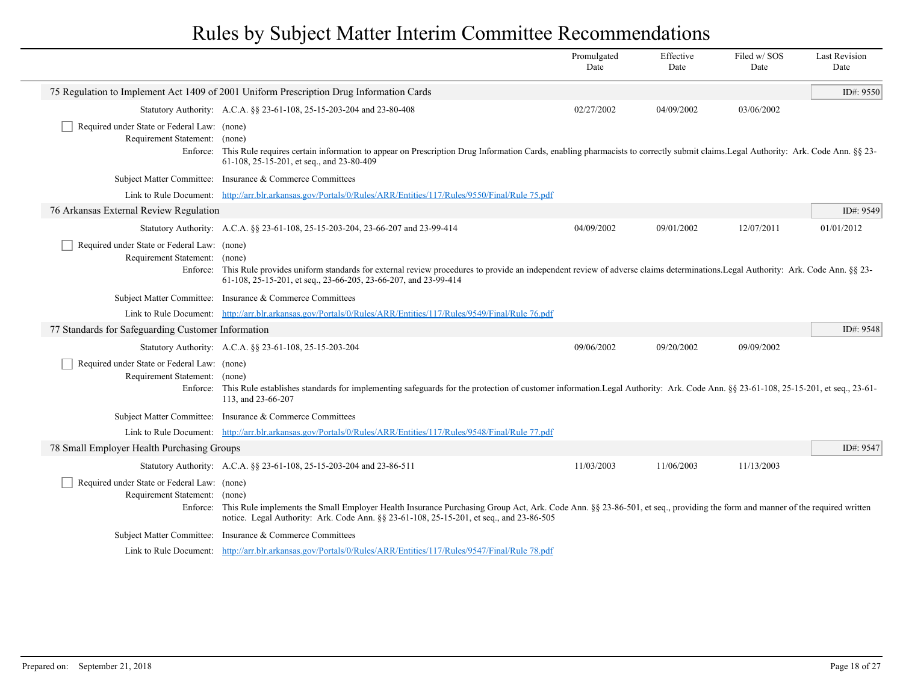|                                                                                          |                                                                                                                                                                                                                                                                                | Promulgated<br>Date | Effective<br>Date | Filed w/SOS<br>Date | <b>Last Revision</b><br>Date |
|------------------------------------------------------------------------------------------|--------------------------------------------------------------------------------------------------------------------------------------------------------------------------------------------------------------------------------------------------------------------------------|---------------------|-------------------|---------------------|------------------------------|
|                                                                                          | 75 Regulation to Implement Act 1409 of 2001 Uniform Prescription Drug Information Cards                                                                                                                                                                                        |                     |                   |                     | ID#: 9550                    |
|                                                                                          | Statutory Authority: A.C.A. §§ 23-61-108, 25-15-203-204 and 23-80-408                                                                                                                                                                                                          | 02/27/2002          | 04/09/2002        | 03/06/2002          |                              |
| Required under State or Federal Law: (none)<br>Requirement Statement: (none)<br>Enforce: | This Rule requires certain information to appear on Prescription Drug Information Cards, enabling pharmacists to correctly submit claims. Legal Authority: Ark. Code Ann. §§ 23-<br>61-108, 25-15-201, et seq., and 23-80-409                                                  |                     |                   |                     |                              |
|                                                                                          | Subject Matter Committee: Insurance & Commerce Committees                                                                                                                                                                                                                      |                     |                   |                     |                              |
|                                                                                          | Link to Rule Document: http://arr.blr.arkansas.gov/Portals/0/Rules/ARR/Entities/117/Rules/9550/Final/Rule 75.pdf                                                                                                                                                               |                     |                   |                     |                              |
| 76 Arkansas External Review Regulation                                                   |                                                                                                                                                                                                                                                                                |                     |                   |                     | ID#: 9549                    |
|                                                                                          | Statutory Authority: A.C.A. §§ 23-61-108, 25-15-203-204, 23-66-207 and 23-99-414                                                                                                                                                                                               | 04/09/2002          | 09/01/2002        | 12/07/2011          | 01/01/2012                   |
| Required under State or Federal Law: (none)<br>Requirement Statement: (none)             | Enforce: This Rule provides uniform standards for external review procedures to provide an independent review of adverse claims determinations. Legal Authority: Ark. Code Ann. §§ 23-<br>61-108, 25-15-201, et seq., 23-66-205, 23-66-207, and 23-99-414                      |                     |                   |                     |                              |
|                                                                                          | Subject Matter Committee: Insurance & Commerce Committees                                                                                                                                                                                                                      |                     |                   |                     |                              |
|                                                                                          | Link to Rule Document: http://arr.blr.arkansas.gov/Portals/0/Rules/ARR/Entities/117/Rules/9549/Final/Rule 76.pdf                                                                                                                                                               |                     |                   |                     |                              |
| 77 Standards for Safeguarding Customer Information                                       |                                                                                                                                                                                                                                                                                |                     |                   |                     | ID#: 9548                    |
|                                                                                          | Statutory Authority: A.C.A. §§ 23-61-108, 25-15-203-204                                                                                                                                                                                                                        | 09/06/2002          | 09/20/2002        | 09/09/2002          |                              |
| Required under State or Federal Law: (none)<br>Requirement Statement: (none)             | Enforce: This Rule establishes standards for implementing safeguards for the protection of customer information. Legal Authority: Ark. Code Ann. §§ 23-61-108, 25-15-201, et seq., 23-61-<br>113, and 23-66-207                                                                |                     |                   |                     |                              |
|                                                                                          | Subject Matter Committee: Insurance & Commerce Committees                                                                                                                                                                                                                      |                     |                   |                     |                              |
|                                                                                          | Link to Rule Document: http://arr.blr.arkansas.gov/Portals/0/Rules/ARR/Entities/117/Rules/9548/Final/Rule 77.pdf                                                                                                                                                               |                     |                   |                     |                              |
| 78 Small Employer Health Purchasing Groups                                               |                                                                                                                                                                                                                                                                                |                     |                   |                     | ID#: 9547                    |
|                                                                                          | Statutory Authority: A.C.A. §§ 23-61-108, 25-15-203-204 and 23-86-511                                                                                                                                                                                                          | 11/03/2003          | 11/06/2003        | 11/13/2003          |                              |
| Required under State or Federal Law: (none)<br>Requirement Statement: (none)             | Enforce: This Rule implements the Small Employer Health Insurance Purchasing Group Act, Ark. Code Ann. §§ 23-86-501, et seq., providing the form and manner of the required written<br>notice. Legal Authority: Ark. Code Ann. §§ 23-61-108, 25-15-201, et seq., and 23-86-505 |                     |                   |                     |                              |
|                                                                                          | Subject Matter Committee: Insurance & Commerce Committees                                                                                                                                                                                                                      |                     |                   |                     |                              |
|                                                                                          | Link to Rule Document: http://arr.blr.arkansas.gov/Portals/0/Rules/ARR/Entities/117/Rules/9547/Final/Rule 78.pdf                                                                                                                                                               |                     |                   |                     |                              |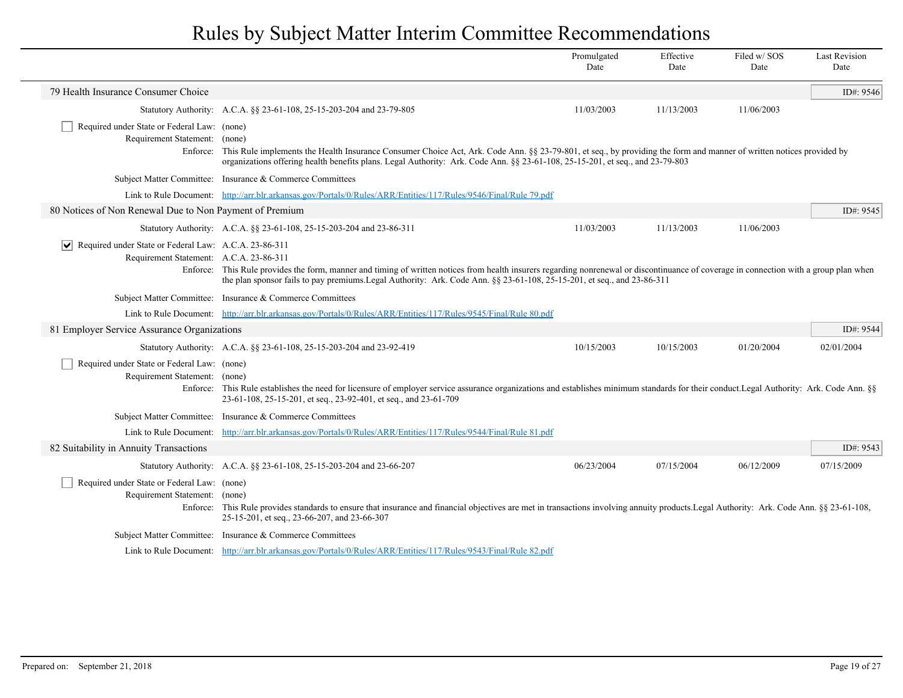|                                                                                                  |                                                                                                                                                                                                                                                                                                                    | Promulgated<br>Date | Effective<br>Date | Filed w/SOS<br>Date | <b>Last Revision</b><br>Date |
|--------------------------------------------------------------------------------------------------|--------------------------------------------------------------------------------------------------------------------------------------------------------------------------------------------------------------------------------------------------------------------------------------------------------------------|---------------------|-------------------|---------------------|------------------------------|
| 79 Health Insurance Consumer Choice                                                              |                                                                                                                                                                                                                                                                                                                    |                     |                   |                     | ID#: $9546$                  |
|                                                                                                  | Statutory Authority: A.C.A. §§ 23-61-108, 25-15-203-204 and 23-79-805                                                                                                                                                                                                                                              | 11/03/2003          | 11/13/2003        | 11/06/2003          |                              |
| Required under State or Federal Law: (none)<br>Requirement Statement: (none)                     | Enforce: This Rule implements the Health Insurance Consumer Choice Act, Ark. Code Ann. §§ 23-79-801, et seq., by providing the form and manner of written notices provided by<br>organizations offering health benefits plans. Legal Authority: Ark. Code Ann. §§ 23-61-108, 25-15-201, et seq., and 23-79-803     |                     |                   |                     |                              |
|                                                                                                  | Subject Matter Committee: Insurance & Commerce Committees                                                                                                                                                                                                                                                          |                     |                   |                     |                              |
|                                                                                                  | Link to Rule Document: http://arr.blr.arkansas.gov/Portals/0/Rules/ARR/Entities/117/Rules/9546/Final/Rule 79.pdf                                                                                                                                                                                                   |                     |                   |                     |                              |
| 80 Notices of Non Renewal Due to Non Payment of Premium                                          |                                                                                                                                                                                                                                                                                                                    |                     |                   |                     | ID#: 9545                    |
|                                                                                                  | Statutory Authority: A.C.A. §§ 23-61-108, 25-15-203-204 and 23-86-311                                                                                                                                                                                                                                              | 11/03/2003          | 11/13/2003        | 11/06/2003          |                              |
| Required under State or Federal Law: A.C.A. 23-86-311<br>Requirement Statement: A.C.A. 23-86-311 | Enforce: This Rule provides the form, manner and timing of written notices from health insurers regarding nonrenewal or discontinuance of coverage in connection with a group plan when<br>the plan sponsor fails to pay premiums. Legal Authority: Ark. Code Ann. §§ 23-61-108, 25-15-201, et seq., and 23-86-311 |                     |                   |                     |                              |
|                                                                                                  | Subject Matter Committee: Insurance & Commerce Committees                                                                                                                                                                                                                                                          |                     |                   |                     |                              |
|                                                                                                  | Link to Rule Document: http://arr.blr.arkansas.gov/Portals/0/Rules/ARR/Entities/117/Rules/9545/Final/Rule 80.pdf                                                                                                                                                                                                   |                     |                   |                     |                              |
| 81 Employer Service Assurance Organizations                                                      |                                                                                                                                                                                                                                                                                                                    |                     |                   |                     | ID#: 9544                    |
|                                                                                                  | Statutory Authority: A.C.A. §§ 23-61-108, 25-15-203-204 and 23-92-419                                                                                                                                                                                                                                              | 10/15/2003          | 10/15/2003        | 01/20/2004          | 02/01/2004                   |
| Required under State or Federal Law: (none)<br>Requirement Statement: (none)                     | Enforce: This Rule establishes the need for licensure of employer service assurance organizations and establishes minimum standards for their conduct. Legal Authority: Ark. Code Ann. §§<br>23-61-108, 25-15-201, et seq., 23-92-401, et seq., and 23-61-709                                                      |                     |                   |                     |                              |
|                                                                                                  | Subject Matter Committee: Insurance & Commerce Committees                                                                                                                                                                                                                                                          |                     |                   |                     |                              |
|                                                                                                  | Link to Rule Document: http://arr.blr.arkansas.gov/Portals/0/Rules/ARR/Entities/117/Rules/9544/Final/Rule 81.pdf                                                                                                                                                                                                   |                     |                   |                     |                              |
| 82 Suitability in Annuity Transactions                                                           |                                                                                                                                                                                                                                                                                                                    |                     |                   |                     | ID#: 9543                    |
|                                                                                                  | Statutory Authority: A.C.A. §§ 23-61-108, 25-15-203-204 and 23-66-207                                                                                                                                                                                                                                              | 06/23/2004          | 07/15/2004        | 06/12/2009          | 07/15/2009                   |
| Required under State or Federal Law: (none)<br>Requirement Statement: (none)                     | Enforce: This Rule provides standards to ensure that insurance and financial objectives are met in transactions involving annuity products. Legal Authority: Ark. Code Ann. §§ 23-61-108,<br>25-15-201, et seq., 23-66-207, and 23-66-307                                                                          |                     |                   |                     |                              |
|                                                                                                  | Subject Matter Committee: Insurance & Commerce Committees                                                                                                                                                                                                                                                          |                     |                   |                     |                              |
|                                                                                                  | Link to Rule Document: http://arr.blr.arkansas.gov/Portals/0/Rules/ARR/Entities/117/Rules/9543/Final/Rule 82.pdf                                                                                                                                                                                                   |                     |                   |                     |                              |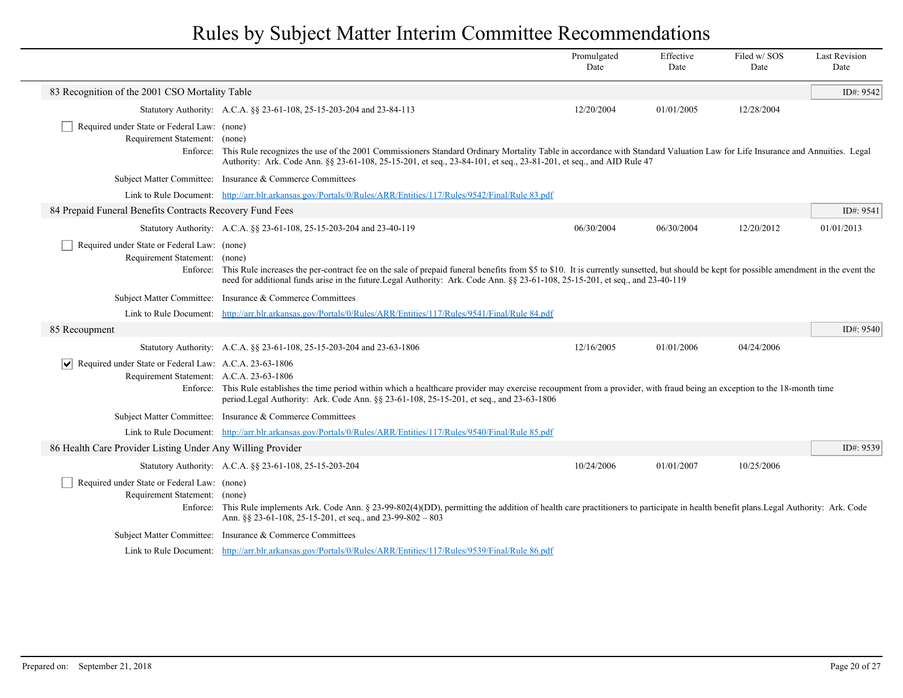|                                                                                                                     |                                                                                                                                                                                                                                                                                                                                    | Promulgated<br>Date | Effective<br>Date | Filed w/SOS<br>Date | <b>Last Revision</b><br>Date |
|---------------------------------------------------------------------------------------------------------------------|------------------------------------------------------------------------------------------------------------------------------------------------------------------------------------------------------------------------------------------------------------------------------------------------------------------------------------|---------------------|-------------------|---------------------|------------------------------|
| 83 Recognition of the 2001 CSO Mortality Table                                                                      |                                                                                                                                                                                                                                                                                                                                    |                     |                   |                     | ID#: 9542                    |
|                                                                                                                     | Statutory Authority: A.C.A. §§ 23-61-108, 25-15-203-204 and 23-84-113                                                                                                                                                                                                                                                              | 12/20/2004          | 01/01/2005        | 12/28/2004          |                              |
| Required under State or Federal Law: (none)<br>Requirement Statement: (none)<br>Enforce:                            | This Rule recognizes the use of the 2001 Commissioners Standard Ordinary Mortality Table in accordance with Standard Valuation Law for Life Insurance and Annuities. Legal<br>Authority: Ark. Code Ann. §§ 23-61-108, 25-15-201, et seq., 23-84-101, et seq., 23-81-201, et seq., and AID Rule 47                                  |                     |                   |                     |                              |
|                                                                                                                     | Subject Matter Committee: Insurance & Commerce Committees                                                                                                                                                                                                                                                                          |                     |                   |                     |                              |
|                                                                                                                     | Link to Rule Document: http://arr.blr.arkansas.gov/Portals/0/Rules/ARR/Entities/117/Rules/9542/Final/Rule 83.pdf                                                                                                                                                                                                                   |                     |                   |                     |                              |
| 84 Prepaid Funeral Benefits Contracts Recovery Fund Fees                                                            |                                                                                                                                                                                                                                                                                                                                    |                     |                   |                     | ID#: 9541                    |
|                                                                                                                     | Statutory Authority: A.C.A. §§ 23-61-108, 25-15-203-204 and 23-40-119                                                                                                                                                                                                                                                              | 06/30/2004          | 06/30/2004        | 12/20/2012          | 01/01/2013                   |
| Required under State or Federal Law: (none)<br>Requirement Statement: (none)                                        | Enforce: This Rule increases the per-contract fee on the sale of prepaid funeral benefits from \$5 to \$10. It is currently sunsetted, but should be kept for possible amendment in the event the<br>need for additional funds arise in the future.Legal Authority: Ark. Code Ann. §§ 23-61-108, 25-15-201, et seq., and 23-40-119 |                     |                   |                     |                              |
|                                                                                                                     | Subject Matter Committee: Insurance & Commerce Committees                                                                                                                                                                                                                                                                          |                     |                   |                     |                              |
| Link to Rule Document:                                                                                              | http://arr.blr.arkansas.gov/Portals/0/Rules/ARR/Entities/117/Rules/9541/Final/Rule 84.pdf                                                                                                                                                                                                                                          |                     |                   |                     |                              |
| 85 Recoupment                                                                                                       |                                                                                                                                                                                                                                                                                                                                    |                     |                   |                     | ID#: 9540                    |
|                                                                                                                     | Statutory Authority: A.C.A. §§ 23-61-108, 25-15-203-204 and 23-63-1806                                                                                                                                                                                                                                                             | 12/16/2005          | 01/01/2006        | 04/24/2006          |                              |
| $ \bm{\vee} $<br>Required under State or Federal Law: A.C.A. 23-63-1806<br>Requirement Statement: A.C.A. 23-63-1806 | Enforce: This Rule establishes the time period within which a healthcare provider may exercise recoupment from a provider, with fraud being an exception to the 18-month time<br>period.Legal Authority: Ark. Code Ann. §§ 23-61-108, 25-15-201, et seq., and 23-63-1806                                                           |                     |                   |                     |                              |
|                                                                                                                     | Subject Matter Committee: Insurance & Commerce Committees                                                                                                                                                                                                                                                                          |                     |                   |                     |                              |
|                                                                                                                     | Link to Rule Document: http://arr.blr.arkansas.gov/Portals/0/Rules/ARR/Entities/117/Rules/9540/Final/Rule 85.pdf                                                                                                                                                                                                                   |                     |                   |                     |                              |
| 86 Health Care Provider Listing Under Any Willing Provider                                                          |                                                                                                                                                                                                                                                                                                                                    |                     |                   |                     | ID#: 9539                    |
|                                                                                                                     | Statutory Authority: A.C.A. §§ 23-61-108, 25-15-203-204                                                                                                                                                                                                                                                                            | 10/24/2006          | 01/01/2007        | 10/25/2006          |                              |
| Required under State or Federal Law: (none)<br>Requirement Statement: (none)                                        | Enforce: This Rule implements Ark. Code Ann. § 23-99-802(4)(DD), permitting the addition of health care practitioners to participate in health benefit plans. Legal Authority: Ark. Code<br>Ann. §§ 23-61-108, 25-15-201, et seq., and 23-99-802 - 803                                                                             |                     |                   |                     |                              |
| <b>Subject Matter Committee:</b>                                                                                    | Insurance & Commerce Committees                                                                                                                                                                                                                                                                                                    |                     |                   |                     |                              |
|                                                                                                                     | Link to Rule Document: http://arr.blr.arkansas.gov/Portals/0/Rules/ARR/Entities/117/Rules/9539/Final/Rule 86.pdf                                                                                                                                                                                                                   |                     |                   |                     |                              |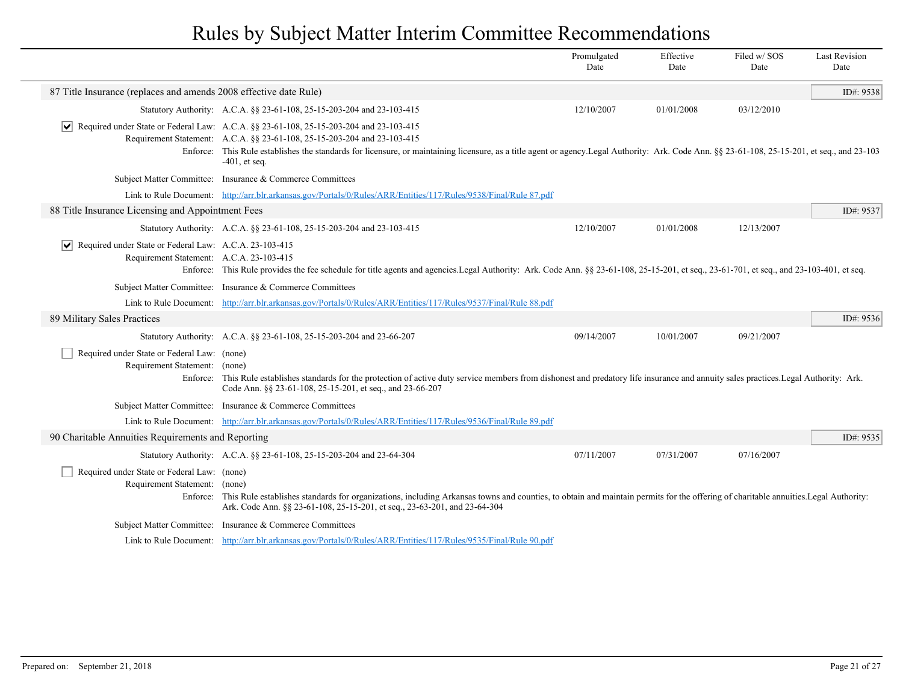|                                                                                                                   |                                                                                                                                                                                                                                                                                                                                                                                          | Promulgated<br>Date | Effective<br>Date | Filed w/SOS<br>Date | <b>Last Revision</b><br>Date |
|-------------------------------------------------------------------------------------------------------------------|------------------------------------------------------------------------------------------------------------------------------------------------------------------------------------------------------------------------------------------------------------------------------------------------------------------------------------------------------------------------------------------|---------------------|-------------------|---------------------|------------------------------|
| 87 Title Insurance (replaces and amends 2008 effective date Rule)                                                 |                                                                                                                                                                                                                                                                                                                                                                                          |                     |                   |                     | ID#: 9538                    |
|                                                                                                                   | Statutory Authority: A.C.A. §§ 23-61-108, 25-15-203-204 and 23-103-415                                                                                                                                                                                                                                                                                                                   | 12/10/2007          | 01/01/2008        | 03/12/2010          |                              |
|                                                                                                                   | Required under State or Federal Law: A.C.A. §§ 23-61-108, 25-15-203-204 and 23-103-415<br>Requirement Statement: A.C.A. §§ 23-61-108, 25-15-203-204 and 23-103-415<br>Enforce: This Rule establishes the standards for licensure, or maintaining licensure, as a title agent or agency. Legal Authority: Ark. Code Ann. §§ 23-61-108, 25-15-201, et seq., and 23-103<br>$-401$ , et seq. |                     |                   |                     |                              |
|                                                                                                                   | Subject Matter Committee: Insurance & Commerce Committees                                                                                                                                                                                                                                                                                                                                |                     |                   |                     |                              |
|                                                                                                                   | Link to Rule Document: http://arr.blr.arkansas.gov/Portals/0/Rules/ARR/Entities/117/Rules/9538/Final/Rule 87.pdf                                                                                                                                                                                                                                                                         |                     |                   |                     |                              |
| 88 Title Insurance Licensing and Appointment Fees                                                                 |                                                                                                                                                                                                                                                                                                                                                                                          |                     |                   |                     | ID#: 9537                    |
|                                                                                                                   | Statutory Authority: A.C.A. §§ 23-61-108, 25-15-203-204 and 23-103-415                                                                                                                                                                                                                                                                                                                   | 12/10/2007          | 01/01/2008        | 12/13/2007          |                              |
| $ \mathbf{v} $ Required under State or Federal Law: A.C.A. 23-103-415<br>Requirement Statement: A.C.A. 23-103-415 | Enforce: This Rule provides the fee schedule for title agents and agencies.Legal Authority: Ark. Code Ann. §§ 23-61-108, 25-15-201, et seq., 23-61-701, et seq., and 23-103-401, et seq.                                                                                                                                                                                                 |                     |                   |                     |                              |
|                                                                                                                   | Subject Matter Committee: Insurance & Commerce Committees                                                                                                                                                                                                                                                                                                                                |                     |                   |                     |                              |
|                                                                                                                   | Link to Rule Document: http://arr.blr.arkansas.gov/Portals/0/Rules/ARR/Entities/117/Rules/9537/Final/Rule 88.pdf                                                                                                                                                                                                                                                                         |                     |                   |                     |                              |
| 89 Military Sales Practices                                                                                       |                                                                                                                                                                                                                                                                                                                                                                                          |                     |                   |                     | ID#: 9536                    |
|                                                                                                                   | Statutory Authority: A.C.A. §§ 23-61-108, 25-15-203-204 and 23-66-207                                                                                                                                                                                                                                                                                                                    | 09/14/2007          | 10/01/2007        | 09/21/2007          |                              |
| Required under State or Federal Law: (none)<br>Requirement Statement: (none)                                      | Enforce: This Rule establishes standards for the protection of active duty service members from dishonest and predatory life insurance and annuity sales practices. Legal Authority: Ark.<br>Code Ann. §§ 23-61-108, 25-15-201, et seq., and 23-66-207                                                                                                                                   |                     |                   |                     |                              |
|                                                                                                                   | Subject Matter Committee: Insurance & Commerce Committees                                                                                                                                                                                                                                                                                                                                |                     |                   |                     |                              |
|                                                                                                                   | Link to Rule Document: http://arr.blr.arkansas.gov/Portals/0/Rules/ARR/Entities/117/Rules/9536/Final/Rule 89.pdf                                                                                                                                                                                                                                                                         |                     |                   |                     |                              |
| 90 Charitable Annuities Requirements and Reporting                                                                |                                                                                                                                                                                                                                                                                                                                                                                          |                     |                   |                     | ID#: 9535                    |
|                                                                                                                   | Statutory Authority: A.C.A. §§ 23-61-108, 25-15-203-204 and 23-64-304                                                                                                                                                                                                                                                                                                                    | 07/11/2007          | 07/31/2007        | 07/16/2007          |                              |
| Required under State or Federal Law: (none)<br>Requirement Statement: (none)                                      | Enforce: This Rule establishes standards for organizations, including Arkansas towns and counties, to obtain and maintain permits for the offering of charitable annuities. Legal Authority:<br>Ark. Code Ann. §§ 23-61-108, 25-15-201, et seq., 23-63-201, and 23-64-304                                                                                                                |                     |                   |                     |                              |
|                                                                                                                   | Subject Matter Committee: Insurance & Commerce Committees                                                                                                                                                                                                                                                                                                                                |                     |                   |                     |                              |
|                                                                                                                   | Link to Rule Document: http://arr.blr.arkansas.gov/Portals/0/Rules/ARR/Entities/117/Rules/9535/Final/Rule 90.pdf                                                                                                                                                                                                                                                                         |                     |                   |                     |                              |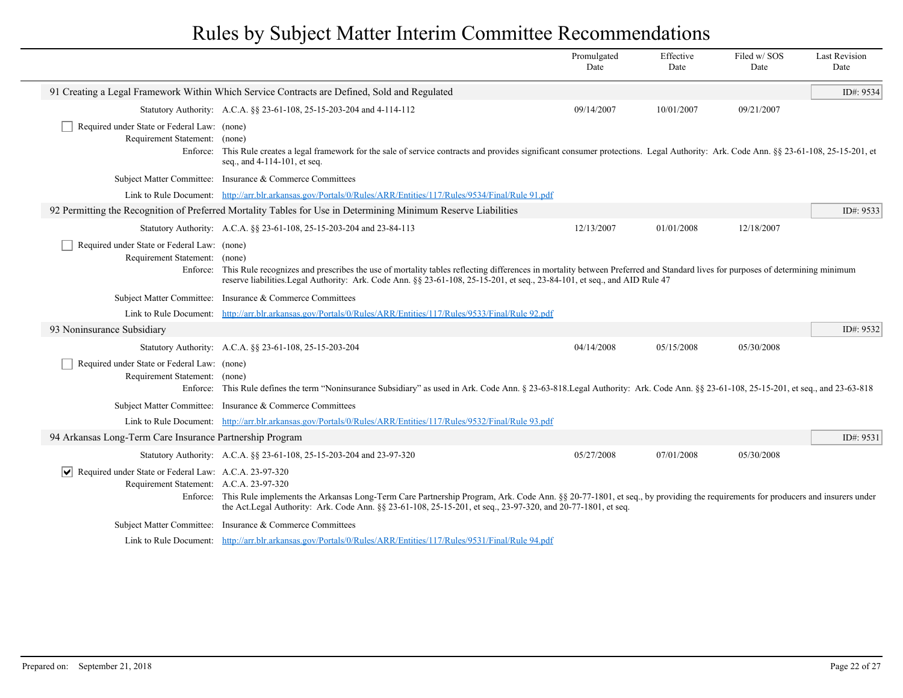|                                                                                                  |                                                                                                                                                                                                                                                                                                                     | Promulgated<br>Date | Effective<br>Date | Filed w/SOS<br>Date | <b>Last Revision</b><br>Date |
|--------------------------------------------------------------------------------------------------|---------------------------------------------------------------------------------------------------------------------------------------------------------------------------------------------------------------------------------------------------------------------------------------------------------------------|---------------------|-------------------|---------------------|------------------------------|
|                                                                                                  | 91 Creating a Legal Framework Within Which Service Contracts are Defined, Sold and Regulated                                                                                                                                                                                                                        |                     |                   |                     | ID#: 9534                    |
|                                                                                                  | Statutory Authority: A.C.A. §§ 23-61-108, 25-15-203-204 and 4-114-112                                                                                                                                                                                                                                               | 09/14/2007          | 10/01/2007        | 09/21/2007          |                              |
| Required under State or Federal Law: (none)<br>Requirement Statement: (none)<br>Enforce:         | This Rule creates a legal framework for the sale of service contracts and provides significant consumer protections. Legal Authority: Ark. Code Ann. §§ 23-61-108, 25-15-201, et<br>seq., and 4-114-101, et seq.                                                                                                    |                     |                   |                     |                              |
|                                                                                                  | Subject Matter Committee: Insurance & Commerce Committees                                                                                                                                                                                                                                                           |                     |                   |                     |                              |
|                                                                                                  | Link to Rule Document: http://arr.blr.arkansas.gov/Portals/0/Rules/ARR/Entities/117/Rules/9534/Final/Rule 91.pdf                                                                                                                                                                                                    |                     |                   |                     |                              |
|                                                                                                  | 92 Permitting the Recognition of Preferred Mortality Tables for Use in Determining Minimum Reserve Liabilities                                                                                                                                                                                                      |                     |                   |                     | ID#: $9533$                  |
|                                                                                                  | Statutory Authority: A.C.A. §§ 23-61-108, 25-15-203-204 and 23-84-113                                                                                                                                                                                                                                               | 12/13/2007          | 01/01/2008        | 12/18/2007          |                              |
| Required under State or Federal Law: (none)<br>Requirement Statement: (none)                     | Enforce: This Rule recognizes and prescribes the use of mortality tables reflecting differences in mortality between Preferred and Standard lives for purposes of determining minimum<br>reserve liabilities. Legal Authority: Ark. Code Ann. §§ 23-61-108, 25-15-201, et seq., 23-84-101, et seq., and AID Rule 47 |                     |                   |                     |                              |
| <b>Subject Matter Committee:</b>                                                                 | Insurance & Commerce Committees                                                                                                                                                                                                                                                                                     |                     |                   |                     |                              |
|                                                                                                  | Link to Rule Document: http://arr.blr.arkansas.gov/Portals/0/Rules/ARR/Entities/117/Rules/9533/Final/Rule 92.pdf                                                                                                                                                                                                    |                     |                   |                     |                              |
| 93 Noninsurance Subsidiary                                                                       |                                                                                                                                                                                                                                                                                                                     |                     |                   |                     | ID#: 9532                    |
|                                                                                                  | Statutory Authority: A.C.A. §§ 23-61-108, 25-15-203-204                                                                                                                                                                                                                                                             | 04/14/2008          | 05/15/2008        | 05/30/2008          |                              |
| Required under State or Federal Law: (none)<br>Requirement Statement: (none)                     | Enforce: This Rule defines the term "Noninsurance Subsidiary" as used in Ark. Code Ann. § 23-63-818. Legal Authority: Ark. Code Ann. § 23-61-108, 25-15-201, et seq., and 23-63-818                                                                                                                                 |                     |                   |                     |                              |
|                                                                                                  | Subject Matter Committee: Insurance & Commerce Committees                                                                                                                                                                                                                                                           |                     |                   |                     |                              |
|                                                                                                  | Link to Rule Document: http://arr.blr.arkansas.gov/Portals/0/Rules/ARR/Entities/117/Rules/9532/Final/Rule 93.pdf                                                                                                                                                                                                    |                     |                   |                     |                              |
| 94 Arkansas Long-Term Care Insurance Partnership Program                                         |                                                                                                                                                                                                                                                                                                                     |                     |                   |                     | ID#: 9531                    |
|                                                                                                  | Statutory Authority: A.C.A. §§ 23-61-108, 25-15-203-204 and 23-97-320                                                                                                                                                                                                                                               | 05/27/2008          | 07/01/2008        | 05/30/2008          |                              |
| Required under State or Federal Law: A.C.A. 23-97-320<br>Requirement Statement: A.C.A. 23-97-320 | Enforce: This Rule implements the Arkansas Long-Term Care Partnership Program, Ark. Code Ann. §§ 20-77-1801, et seq., by providing the requirements for producers and insurers under<br>the Act.Legal Authority: Ark. Code Ann. §§ 23-61-108, 25-15-201, et seq., 23-97-320, and 20-77-1801, et seq.                |                     |                   |                     |                              |
|                                                                                                  | Subject Matter Committee: Insurance & Commerce Committees                                                                                                                                                                                                                                                           |                     |                   |                     |                              |
|                                                                                                  | Link to Rule Document: http://arr.blr.arkansas.gov/Portals/0/Rules/ARR/Entities/117/Rules/9531/Final/Rule 94.pdf                                                                                                                                                                                                    |                     |                   |                     |                              |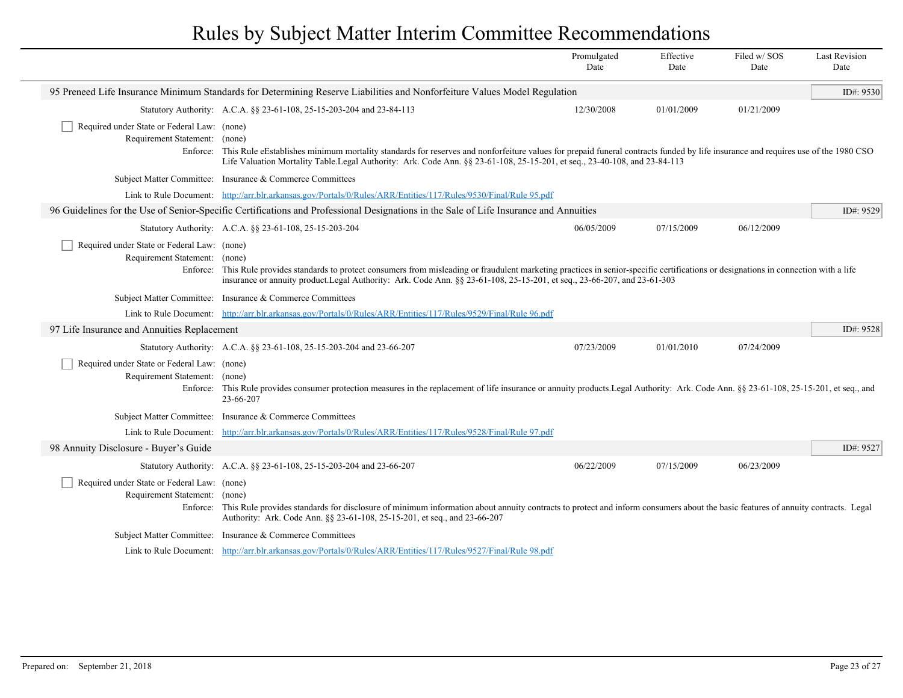|                                                                              |                                                                                                                                                                                                                                                                                                                       | Promulgated<br>Date | Effective<br>Date | Filed w/ SOS<br>Date | <b>Last Revision</b><br>Date |
|------------------------------------------------------------------------------|-----------------------------------------------------------------------------------------------------------------------------------------------------------------------------------------------------------------------------------------------------------------------------------------------------------------------|---------------------|-------------------|----------------------|------------------------------|
|                                                                              | 95 Preneed Life Insurance Minimum Standards for Determining Reserve Liabilities and Nonforfeiture Values Model Regulation                                                                                                                                                                                             |                     |                   |                      | ID#: 9530                    |
|                                                                              | Statutory Authority: A.C.A. §§ 23-61-108, 25-15-203-204 and 23-84-113                                                                                                                                                                                                                                                 | 12/30/2008          | 01/01/2009        | 01/21/2009           |                              |
| Required under State or Federal Law: (none)<br>Requirement Statement: (none) | Enforce: This Rule eEstablishes minimum mortality standards for reserves and nonforfeiture values for prepaid funeral contracts funded by life insurance and requires use of the 1980 CSO<br>Life Valuation Mortality Table.Legal Authority: Ark. Code Ann. § 23-61-108, 25-15-201, et seq., 23-40-108, and 23-84-113 |                     |                   |                      |                              |
|                                                                              | Subject Matter Committee: Insurance & Commerce Committees                                                                                                                                                                                                                                                             |                     |                   |                      |                              |
|                                                                              | Link to Rule Document: http://arr.blr.arkansas.gov/Portals/0/Rules/ARR/Entities/117/Rules/9530/Final/Rule 95.pdf                                                                                                                                                                                                      |                     |                   |                      |                              |
|                                                                              | 96 Guidelines for the Use of Senior-Specific Certifications and Professional Designations in the Sale of Life Insurance and Annuities                                                                                                                                                                                 |                     |                   |                      | ID#: 9529                    |
|                                                                              | Statutory Authority: A.C.A. §§ 23-61-108, 25-15-203-204                                                                                                                                                                                                                                                               | 06/05/2009          | 07/15/2009        | 06/12/2009           |                              |
| Required under State or Federal Law: (none)<br>Requirement Statement: (none) | Enforce: This Rule provides standards to protect consumers from misleading or fraudulent marketing practices in senior-specific certifications or designations in connection with a life<br>insurance or annuity product. Legal Authority: Ark. Code Ann. § \$23-61-108, 25-15-201, et seq., 23-66-207, and 23-61-303 |                     |                   |                      |                              |
|                                                                              | Subject Matter Committee: Insurance & Commerce Committees                                                                                                                                                                                                                                                             |                     |                   |                      |                              |
|                                                                              | Link to Rule Document: http://arr.blr.arkansas.gov/Portals/0/Rules/ARR/Entities/117/Rules/9529/Final/Rule 96.pdf                                                                                                                                                                                                      |                     |                   |                      |                              |
| 97 Life Insurance and Annuities Replacement                                  |                                                                                                                                                                                                                                                                                                                       |                     |                   |                      | ID#: 9528                    |
|                                                                              | Statutory Authority: A.C.A. §§ 23-61-108, 25-15-203-204 and 23-66-207                                                                                                                                                                                                                                                 | 07/23/2009          | 01/01/2010        | 07/24/2009           |                              |
| Required under State or Federal Law: (none)<br>Requirement Statement: (none) | Enforce: This Rule provides consumer protection measures in the replacement of life insurance or annuity products. Legal Authority: Ark. Code Ann. §§ 23-61-108, 25-15-201, et seq., and<br>23-66-207                                                                                                                 |                     |                   |                      |                              |
|                                                                              | Subject Matter Committee: Insurance & Commerce Committees                                                                                                                                                                                                                                                             |                     |                   |                      |                              |
|                                                                              | Link to Rule Document: http://arr.blr.arkansas.gov/Portals/0/Rules/ARR/Entities/117/Rules/9528/Final/Rule 97.pdf                                                                                                                                                                                                      |                     |                   |                      |                              |
| 98 Annuity Disclosure - Buyer's Guide                                        |                                                                                                                                                                                                                                                                                                                       |                     |                   |                      | ID#: 9527                    |
|                                                                              | Statutory Authority: A.C.A. §§ 23-61-108, 25-15-203-204 and 23-66-207                                                                                                                                                                                                                                                 | 06/22/2009          | 07/15/2009        | 06/23/2009           |                              |
| Required under State or Federal Law: (none)<br>Requirement Statement: (none) | Enforce: This Rule provides standards for disclosure of minimum information about annuity contracts to protect and inform consumers about the basic features of annuity contracts. Legal<br>Authority: Ark. Code Ann. §§ 23-61-108, 25-15-201, et seq., and 23-66-207                                                 |                     |                   |                      |                              |
|                                                                              | Subject Matter Committee: Insurance & Commerce Committees                                                                                                                                                                                                                                                             |                     |                   |                      |                              |
|                                                                              | Link to Rule Document: http://arr.blr.arkansas.gov/Portals/0/Rules/ARR/Entities/117/Rules/9527/Final/Rule 98.pdf                                                                                                                                                                                                      |                     |                   |                      |                              |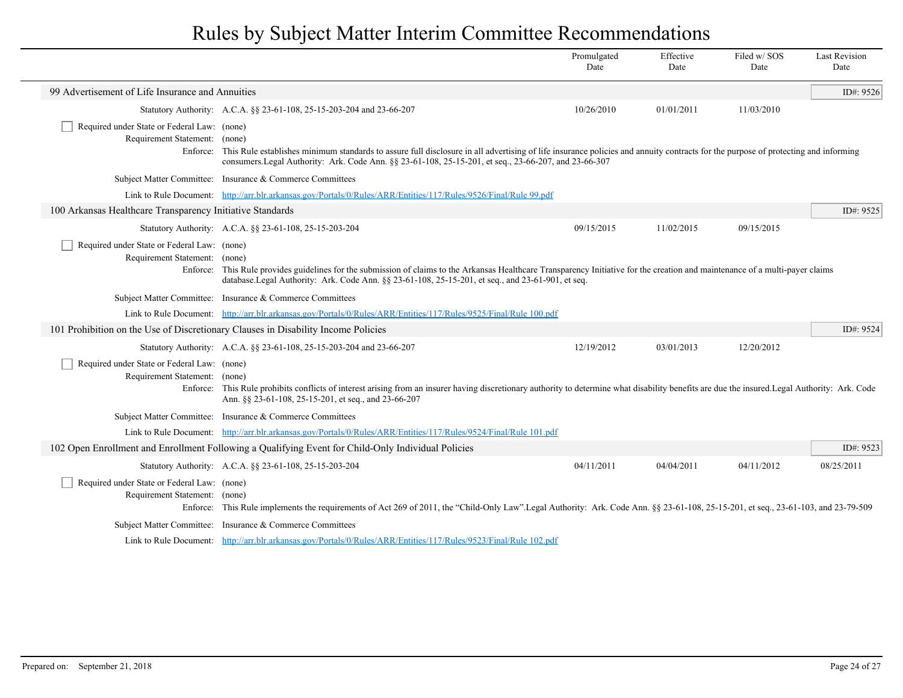|                                                                                          |                                                                                                                                                                                                                                                                                            | Promulgated<br>Date | Effective<br>Date | Filed w/SOS<br>Date | <b>Last Revision</b><br>Date |
|------------------------------------------------------------------------------------------|--------------------------------------------------------------------------------------------------------------------------------------------------------------------------------------------------------------------------------------------------------------------------------------------|---------------------|-------------------|---------------------|------------------------------|
| 99 Advertisement of Life Insurance and Annuities                                         |                                                                                                                                                                                                                                                                                            |                     |                   |                     | ID#: 9526                    |
|                                                                                          | Statutory Authority: A.C.A. §§ 23-61-108, 25-15-203-204 and 23-66-207                                                                                                                                                                                                                      | 10/26/2010          | 01/01/2011        | 11/03/2010          |                              |
| Required under State or Federal Law: (none)<br>Requirement Statement: (none)<br>Enforce: | This Rule establishes minimum standards to assure full disclosure in all advertising of life insurance policies and annuity contracts for the purpose of protecting and informing<br>consumers. Legal Authority: Ark. Code Ann. §§ 23-61-108, 25-15-201, et seq., 23-66-207, and 23-66-307 |                     |                   |                     |                              |
|                                                                                          | Subject Matter Committee: Insurance & Commerce Committees                                                                                                                                                                                                                                  |                     |                   |                     |                              |
| Link to Rule Document:                                                                   | http://arr.blr.arkansas.gov/Portals/0/Rules/ARR/Entities/117/Rules/9526/Final/Rule 99.pdf                                                                                                                                                                                                  |                     |                   |                     |                              |
| 100 Arkansas Healthcare Transparency Initiative Standards                                |                                                                                                                                                                                                                                                                                            |                     |                   |                     | ID#: 9525                    |
|                                                                                          | Statutory Authority: A.C.A. §§ 23-61-108, 25-15-203-204                                                                                                                                                                                                                                    | 09/15/2015          | 11/02/2015        | 09/15/2015          |                              |
| Required under State or Federal Law: (none)<br>Requirement Statement: (none)             | Enforce: This Rule provides guidelines for the submission of claims to the Arkansas Healthcare Transparency Initiative for the creation and maintenance of a multi-payer claims<br>database.Legal Authority: Ark. Code Ann. §§ 23-61-108, 25-15-201, et seq., and 23-61-901, et seq.       |                     |                   |                     |                              |
|                                                                                          | Subject Matter Committee: Insurance & Commerce Committees                                                                                                                                                                                                                                  |                     |                   |                     |                              |
|                                                                                          | Link to Rule Document: http://arr.blr.arkansas.gov/Portals/0/Rules/ARR/Entities/117/Rules/9525/Final/Rule 100.pdf                                                                                                                                                                          |                     |                   |                     |                              |
|                                                                                          | 101 Prohibition on the Use of Discretionary Clauses in Disability Income Policies                                                                                                                                                                                                          |                     |                   |                     | ID#: 9524                    |
|                                                                                          | Statutory Authority: A.C.A. §§ 23-61-108, 25-15-203-204 and 23-66-207                                                                                                                                                                                                                      | 12/19/2012          | 03/01/2013        | 12/20/2012          |                              |
| Required under State or Federal Law: (none)<br>Requirement Statement: (none)<br>Enforce: | This Rule prohibits conflicts of interest arising from an insurer having discretionary authority to determine what disability benefits are due the insured. Legal Authority: Ark. Code<br>Ann. §§ 23-61-108, 25-15-201, et seq., and 23-66-207                                             |                     |                   |                     |                              |
|                                                                                          | Subject Matter Committee: Insurance & Commerce Committees                                                                                                                                                                                                                                  |                     |                   |                     |                              |
|                                                                                          | Link to Rule Document: http://arr.blr.arkansas.gov/Portals/0/Rules/ARR/Entities/117/Rules/9524/Final/Rule 101.pdf                                                                                                                                                                          |                     |                   |                     |                              |
|                                                                                          | 102 Open Enrollment and Enrollment Following a Qualifying Event for Child-Only Individual Policies                                                                                                                                                                                         |                     |                   |                     | ID#: 9523                    |
|                                                                                          | Statutory Authority: A.C.A. §§ 23-61-108, 25-15-203-204                                                                                                                                                                                                                                    | 04/11/2011          | 04/04/2011        | 04/11/2012          | 08/25/2011                   |
| Required under State or Federal Law: (none)<br>Requirement Statement: (none)<br>Enforce: | This Rule implements the requirements of Act 269 of 2011, the "Child-Only Law".Legal Authority: Ark. Code Ann. §§ 23-61-108, 25-15-201, et seq., 23-61-103, and 23-79-509                                                                                                                  |                     |                   |                     |                              |
|                                                                                          | Subject Matter Committee: Insurance & Commerce Committees                                                                                                                                                                                                                                  |                     |                   |                     |                              |
|                                                                                          | Link to Rule Document: http://arr.blr.arkansas.gov/Portals/0/Rules/ARR/Entities/117/Rules/9523/Final/Rule 102.pdf                                                                                                                                                                          |                     |                   |                     |                              |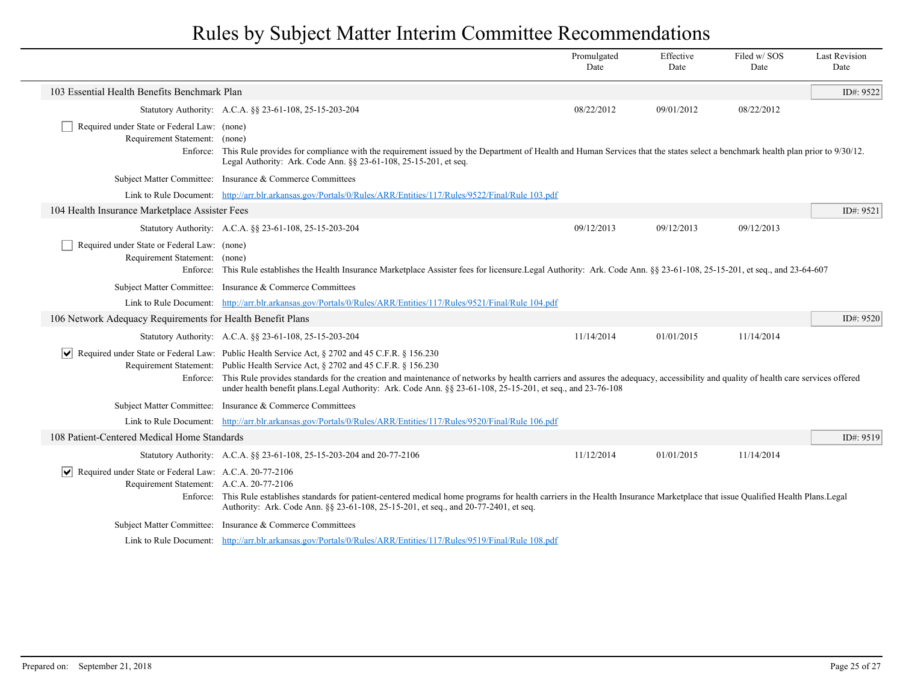|                                                                                                    |                                                                                                                                                                                                                                                                                                                                                                                                                                                                                                                           | Promulgated<br>Date | Effective<br>Date | Filed w/SOS<br>Date | <b>Last Revision</b><br>Date |
|----------------------------------------------------------------------------------------------------|---------------------------------------------------------------------------------------------------------------------------------------------------------------------------------------------------------------------------------------------------------------------------------------------------------------------------------------------------------------------------------------------------------------------------------------------------------------------------------------------------------------------------|---------------------|-------------------|---------------------|------------------------------|
| 103 Essential Health Benefits Benchmark Plan                                                       |                                                                                                                                                                                                                                                                                                                                                                                                                                                                                                                           |                     |                   |                     | ID#: 9522                    |
|                                                                                                    | Statutory Authority: A.C.A. §§ 23-61-108, 25-15-203-204                                                                                                                                                                                                                                                                                                                                                                                                                                                                   | 08/22/2012          | 09/01/2012        | 08/22/2012          |                              |
| Required under State or Federal Law: (none)<br>Requirement Statement: (none)                       | Enforce: This Rule provides for compliance with the requirement issued by the Department of Health and Human Services that the states select a benchmark health plan prior to 9/30/12.<br>Legal Authority: Ark. Code Ann. §§ 23-61-108, 25-15-201, et seq.                                                                                                                                                                                                                                                                |                     |                   |                     |                              |
|                                                                                                    | Subject Matter Committee: Insurance & Commerce Committees                                                                                                                                                                                                                                                                                                                                                                                                                                                                 |                     |                   |                     |                              |
|                                                                                                    | Link to Rule Document: http://arr.blr.arkansas.gov/Portals/0/Rules/ARR/Entities/117/Rules/9522/Final/Rule 103.pdf                                                                                                                                                                                                                                                                                                                                                                                                         |                     |                   |                     |                              |
| 104 Health Insurance Marketplace Assister Fees                                                     |                                                                                                                                                                                                                                                                                                                                                                                                                                                                                                                           |                     |                   |                     | ID#: $9521$                  |
|                                                                                                    | Statutory Authority: A.C.A. §§ 23-61-108, 25-15-203-204                                                                                                                                                                                                                                                                                                                                                                                                                                                                   | 09/12/2013          | 09/12/2013        | 09/12/2013          |                              |
| Required under State or Federal Law: (none)<br>Requirement Statement: (none)                       | Enforce: This Rule establishes the Health Insurance Marketplace Assister fees for licensure.Legal Authority: Ark. Code Ann. §§ 23-61-108, 25-15-201, et seq., and 23-64-607                                                                                                                                                                                                                                                                                                                                               |                     |                   |                     |                              |
|                                                                                                    | Subject Matter Committee: Insurance & Commerce Committees                                                                                                                                                                                                                                                                                                                                                                                                                                                                 |                     |                   |                     |                              |
|                                                                                                    | Link to Rule Document: http://arr.blr.arkansas.gov/Portals/0/Rules/ARR/Entities/117/Rules/9521/Final/Rule 104.pdf                                                                                                                                                                                                                                                                                                                                                                                                         |                     |                   |                     |                              |
| 106 Network Adequacy Requirements for Health Benefit Plans                                         |                                                                                                                                                                                                                                                                                                                                                                                                                                                                                                                           |                     |                   |                     | ID#: 9520                    |
|                                                                                                    | Statutory Authority: A.C.A. §§ 23-61-108, 25-15-203-204                                                                                                                                                                                                                                                                                                                                                                                                                                                                   | 11/14/2014          | 01/01/2015        | 11/14/2014          |                              |
|                                                                                                    | $\vert \mathbf{v} \vert$ Required under State or Federal Law: Public Health Service Act, § 2702 and 45 C.F.R. § 156.230<br>Requirement Statement: Public Health Service Act, § 2702 and 45 C.F.R. § 156.230<br>Enforce: This Rule provides standards for the creation and maintenance of networks by health carriers and assures the adequacy, accessibility and quality of health care services offered<br>under health benefit plans. Legal Authority: Ark. Code Ann. $\S$ 23-61-108, 25-15-201, et seq., and 23-76-108 |                     |                   |                     |                              |
|                                                                                                    | Subject Matter Committee: Insurance & Commerce Committees                                                                                                                                                                                                                                                                                                                                                                                                                                                                 |                     |                   |                     |                              |
|                                                                                                    | Link to Rule Document: http://arr.blr.arkansas.gov/Portals/0/Rules/ARR/Entities/117/Rules/9520/Final/Rule 106.pdf                                                                                                                                                                                                                                                                                                                                                                                                         |                     |                   |                     |                              |
| 108 Patient-Centered Medical Home Standards                                                        |                                                                                                                                                                                                                                                                                                                                                                                                                                                                                                                           |                     |                   |                     | ID#: 9519                    |
|                                                                                                    | Statutory Authority: A.C.A. §§ 23-61-108, 25-15-203-204 and 20-77-2106                                                                                                                                                                                                                                                                                                                                                                                                                                                    | 11/12/2014          | 01/01/2015        | 11/14/2014          |                              |
| Required under State or Federal Law: A.C.A. 20-77-2106<br>Requirement Statement: A.C.A. 20-77-2106 | Enforce: This Rule establishes standards for patient-centered medical home programs for health carriers in the Health Insurance Marketplace that issue Qualified Health Plans. Legal<br>Authority: Ark. Code Ann. §§ 23-61-108, 25-15-201, et seq., and 20-77-2401, et seq.                                                                                                                                                                                                                                               |                     |                   |                     |                              |
|                                                                                                    | Subject Matter Committee: Insurance & Commerce Committees                                                                                                                                                                                                                                                                                                                                                                                                                                                                 |                     |                   |                     |                              |
|                                                                                                    | Link to Rule Document: http://arr.blr.arkansas.gov/Portals/0/Rules/ARR/Entities/117/Rules/9519/Final/Rule 108.pdf                                                                                                                                                                                                                                                                                                                                                                                                         |                     |                   |                     |                              |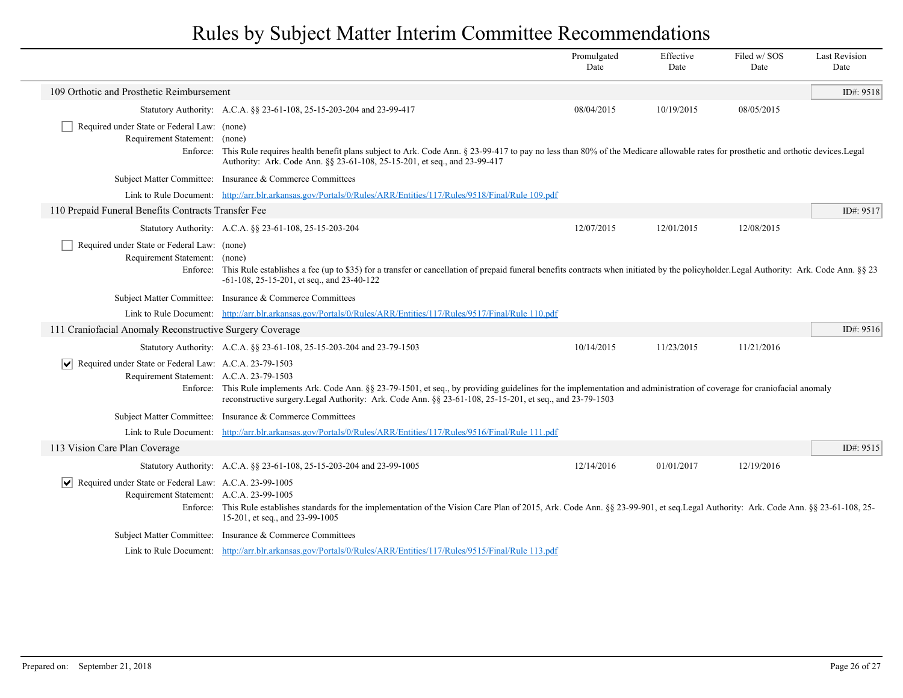|                                                                                                           |                                                                                                                                                                                                                                                                                         | Promulgated<br>Date | Effective<br>Date | Filed w/SOS<br>Date | <b>Last Revision</b><br>Date |
|-----------------------------------------------------------------------------------------------------------|-----------------------------------------------------------------------------------------------------------------------------------------------------------------------------------------------------------------------------------------------------------------------------------------|---------------------|-------------------|---------------------|------------------------------|
| 109 Orthotic and Prosthetic Reimbursement                                                                 |                                                                                                                                                                                                                                                                                         |                     |                   |                     | ID#: 9518                    |
|                                                                                                           | Statutory Authority: A.C.A. §§ 23-61-108, 25-15-203-204 and 23-99-417                                                                                                                                                                                                                   | 08/04/2015          | 10/19/2015        | 08/05/2015          |                              |
| Required under State or Federal Law: (none)                                                               |                                                                                                                                                                                                                                                                                         |                     |                   |                     |                              |
| Requirement Statement: (none)                                                                             | Enforce: This Rule requires health benefit plans subject to Ark. Code Ann. § 23-99-417 to pay no less than 80% of the Medicare allowable rates for prosthetic and orthotic devices. Legal<br>Authority: Ark. Code Ann. §§ 23-61-108, 25-15-201, et seq., and 23-99-417                  |                     |                   |                     |                              |
|                                                                                                           | Subject Matter Committee: Insurance & Commerce Committees                                                                                                                                                                                                                               |                     |                   |                     |                              |
|                                                                                                           | Link to Rule Document: http://arr.blr.arkansas.gov/Portals/0/Rules/ARR/Entities/117/Rules/9518/Final/Rule 109.pdf                                                                                                                                                                       |                     |                   |                     |                              |
| 110 Prepaid Funeral Benefits Contracts Transfer Fee                                                       |                                                                                                                                                                                                                                                                                         |                     |                   |                     | ID#: 9517                    |
|                                                                                                           | Statutory Authority: A.C.A. §§ 23-61-108, 25-15-203-204                                                                                                                                                                                                                                 | 12/07/2015          | 12/01/2015        | 12/08/2015          |                              |
| Required under State or Federal Law: (none)<br>Requirement Statement: (none)                              | Enforce: This Rule establishes a fee (up to \$35) for a transfer or cancellation of prepaid funeral benefits contracts when initiated by the policyholder. Legal Authority: Ark. Code Ann. §§ 23<br>$-61-108$ , 25 $-15-201$ , et seq., and 23 $-40-122$                                |                     |                   |                     |                              |
|                                                                                                           | Subject Matter Committee: Insurance & Commerce Committees                                                                                                                                                                                                                               |                     |                   |                     |                              |
|                                                                                                           | Link to Rule Document: http://arr.blr.arkansas.gov/Portals/0/Rules/ARR/Entities/117/Rules/9517/Final/Rule 110.pdf                                                                                                                                                                       |                     |                   |                     |                              |
| 111 Craniofacial Anomaly Reconstructive Surgery Coverage                                                  |                                                                                                                                                                                                                                                                                         |                     |                   |                     | ID#: 9516                    |
|                                                                                                           | Statutory Authority: A.C.A. §§ 23-61-108, 25-15-203-204 and 23-79-1503                                                                                                                                                                                                                  | 10/14/2015          | 11/23/2015        | 11/21/2016          |                              |
| Required under State or Federal Law: A.C.A. 23-79-1503                                                    |                                                                                                                                                                                                                                                                                         |                     |                   |                     |                              |
| Requirement Statement: A.C.A. 23-79-1503                                                                  | Enforce: This Rule implements Ark. Code Ann. §§ 23-79-1501, et seq., by providing guidelines for the implementation and administration of coverage for craniofacial anomaly<br>reconstructive surgery. Legal Authority: Ark. Code Ann. §§ 23-61-108, 25-15-201, et seq., and 23-79-1503 |                     |                   |                     |                              |
|                                                                                                           | Subject Matter Committee: Insurance & Commerce Committees                                                                                                                                                                                                                               |                     |                   |                     |                              |
|                                                                                                           | Link to Rule Document: http://arr.blr.arkansas.gov/Portals/0/Rules/ARR/Entities/117/Rules/9516/Final/Rule 111.pdf                                                                                                                                                                       |                     |                   |                     |                              |
| 113 Vision Care Plan Coverage                                                                             |                                                                                                                                                                                                                                                                                         |                     |                   |                     | ID#: 9515                    |
|                                                                                                           | Statutory Authority: A.C.A. §§ 23-61-108, 25-15-203-204 and 23-99-1005                                                                                                                                                                                                                  | 12/14/2016          | 01/01/2017        | 12/19/2016          |                              |
| Required under State or Federal Law: A.C.A. 23-99-1005<br>∣V∣<br>Requirement Statement: A.C.A. 23-99-1005 | Enforce: This Rule establishes standards for the implementation of the Vision Care Plan of 2015, Ark. Code Ann. §§ 23-99-901, et seq. Legal Authority: Ark. Code Ann. §§ 23-61-108, 25-<br>15-201, et seq., and 23-99-1005                                                              |                     |                   |                     |                              |
|                                                                                                           | Subject Matter Committee: Insurance & Commerce Committees                                                                                                                                                                                                                               |                     |                   |                     |                              |
|                                                                                                           | Link to Rule Document: http://arr.blr.arkansas.gov/Portals/0/Rules/ARR/Entities/117/Rules/9515/Final/Rule 113.pdf                                                                                                                                                                       |                     |                   |                     |                              |

 $\overline{\phantom{a}}$